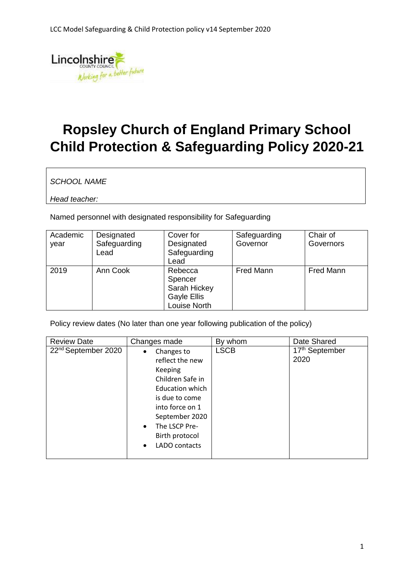

## **Ropsley Church of England Primary School Child Protection & Safeguarding Policy 2020-21**

*SCHOOL NAME* 

*Head teacher:* 

Named personnel with designated responsibility for Safeguarding

| Academic<br>year | Designated<br>Safeguarding<br>Lead | Cover for<br>Designated<br>Safeguarding<br>Lead                   | Safeguarding<br>Governor | Chair of<br>Governors |
|------------------|------------------------------------|-------------------------------------------------------------------|--------------------------|-----------------------|
| 2019             | Ann Cook                           | Rebecca<br>Spencer<br>Sarah Hickey<br>Gayle Ellis<br>Louise North | <b>Fred Mann</b>         | <b>Fred Mann</b>      |

Policy review dates (No later than one year following publication of the policy)

| <b>Review Date</b>              | Changes made                                                                                                                                                                                                                             | By whom     | Date Shared            |
|---------------------------------|------------------------------------------------------------------------------------------------------------------------------------------------------------------------------------------------------------------------------------------|-------------|------------------------|
| 22 <sup>nd</sup> September 2020 | Changes to<br>$\bullet$<br>reflect the new<br>Keeping<br>Children Safe in<br><b>Education which</b><br>is due to come<br>into force on 1<br>September 2020<br>The LSCP Pre-<br>$\bullet$<br>Birth protocol<br>LADO contacts<br>$\bullet$ | <b>LSCB</b> | 17th September<br>2020 |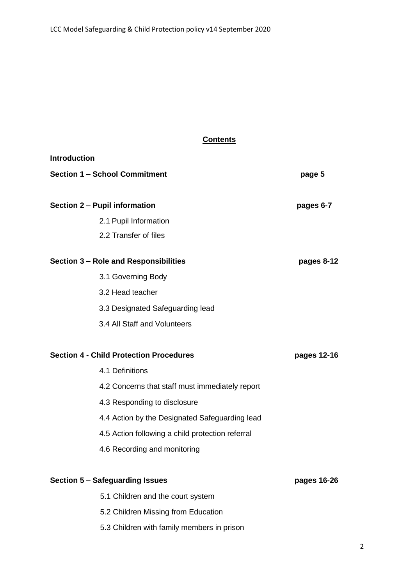#### **Contents**

| <b>Introduction</b>                            |                                                  |             |
|------------------------------------------------|--------------------------------------------------|-------------|
| <b>Section 1 - School Commitment</b>           | page 5                                           |             |
|                                                |                                                  |             |
| Section 2 - Pupil information                  |                                                  | pages 6-7   |
|                                                | 2.1 Pupil Information                            |             |
|                                                | 2.2 Transfer of files                            |             |
| Section 3 - Role and Responsibilities          |                                                  | pages 8-12  |
|                                                | 3.1 Governing Body                               |             |
|                                                | 3.2 Head teacher                                 |             |
|                                                | 3.3 Designated Safeguarding lead                 |             |
|                                                | 3.4 All Staff and Volunteers                     |             |
|                                                |                                                  |             |
| <b>Section 4 - Child Protection Procedures</b> |                                                  | pages 12-16 |
|                                                | 4.1 Definitions                                  |             |
|                                                | 4.2 Concerns that staff must immediately report  |             |
|                                                | 4.3 Responding to disclosure                     |             |
|                                                | 4.4 Action by the Designated Safeguarding lead   |             |
|                                                | 4.5 Action following a child protection referral |             |
|                                                | 4.6 Recording and monitoring                     |             |
|                                                |                                                  |             |
| <b>Section 5 - Safeguarding Issues</b>         | pages 16-26                                      |             |
|                                                | 5.1 Children and the court system                |             |
|                                                | 5.2 Children Missing from Education              |             |

5.3 Children with family members in prison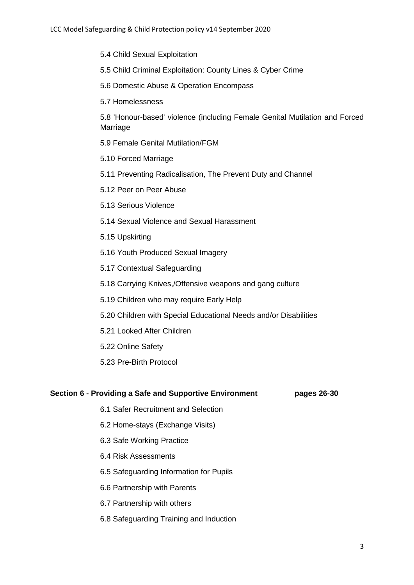- 5.4 Child Sexual Exploitation
- 5.5 Child Criminal Exploitation: County Lines & Cyber Crime
- 5.6 Domestic Abuse & Operation Encompass
- 5.7 Homelessness

5.8 'Honour-based' violence (including Female Genital Mutilation and Forced Marriage

- 5.9 Female Genital Mutilation/FGM
- 5.10 Forced Marriage
- 5.11 Preventing Radicalisation, The Prevent Duty and Channel
- 5.12 Peer on Peer Abuse
- 5.13 Serious Violence
- 5.14 Sexual Violence and Sexual Harassment
- 5.15 Upskirting
- 5.16 Youth Produced Sexual Imagery
- 5.17 Contextual Safeguarding
- 5.18 Carrying Knives,/Offensive weapons and gang culture
- 5.19 Children who may require Early Help
- 5.20 Children with Special Educational Needs and/or Disabilities
- 5.21 Looked After Children
- 5.22 Online Safety
- 5.23 Pre-Birth Protocol

#### **Section 6 - Providing a Safe and Supportive Environment pages 26-30**

- 6.1 Safer Recruitment and Selection
- 6.2 Home-stays (Exchange Visits)
- 6.3 Safe Working Practice
- 6.4 Risk Assessments
- 6.5 Safeguarding Information for Pupils
- 6.6 Partnership with Parents
- 6.7 Partnership with others
- 6.8 Safeguarding Training and Induction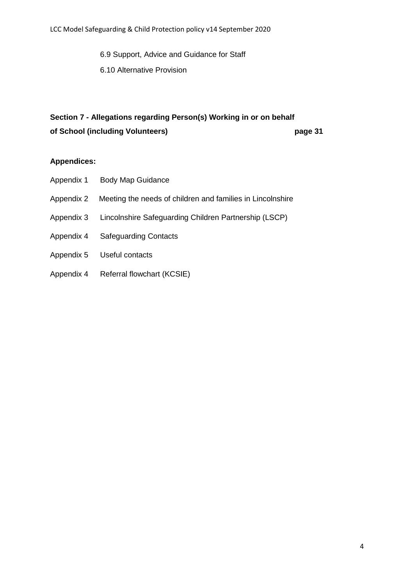6.9 Support, Advice and Guidance for Staff 6.10 Alternative Provision

## **Section 7 - Allegations regarding Person(s) Working in or on behalf**

**of School (including Volunteers) page 31**

#### **Appendices:**

- Appendix 1 Body Map Guidance
- Appendix 2 Meeting the needs of children and families in Lincolnshire
- Appendix 3 Lincolnshire Safeguarding Children Partnership (LSCP)
- Appendix 4 Safeguarding Contacts
- Appendix 5 Useful contacts
- Appendix 4 Referral flowchart (KCSIE)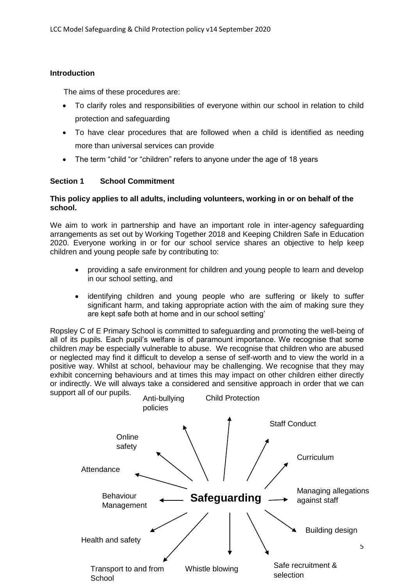#### **Introduction**

The aims of these procedures are:

- To clarify roles and responsibilities of everyone within our school in relation to child protection and safeguarding
- To have clear procedures that are followed when a child is identified as needing more than universal services can provide
- The term "child "or "children" refers to anyone under the age of 18 years

#### **Section 1 School Commitment**

#### **This policy applies to all adults, including volunteers, working in or on behalf of the school.**

We aim to work in partnership and have an important role in inter-agency safeguarding arrangements as set out by Working Together 2018 and Keeping Children Safe in Education 2020. Everyone working in or for our school service shares an objective to help keep children and young people safe by contributing to:

- providing a safe environment for children and young people to learn and develop in our school setting, and
- identifying children and young people who are suffering or likely to suffer significant harm, and taking appropriate action with the aim of making sure they are kept safe both at home and in our school setting'

Ropsley C of E Primary School is committed to safeguarding and promoting the well-being of all of its pupils*.* Each pupil's welfare is of paramount importance. We recognise that some children *may* be especially vulnerable to abuse. We recognise that children who are abused or neglected may find it difficult to develop a sense of self-worth and to view the world in a positive way. Whilst at school, behaviour may be challenging. We recognise that they may exhibit concerning behaviours and at times this may impact on other children either directly or indirectly. We will always take a considered and sensitive approach in order that we can support all of our pupils.

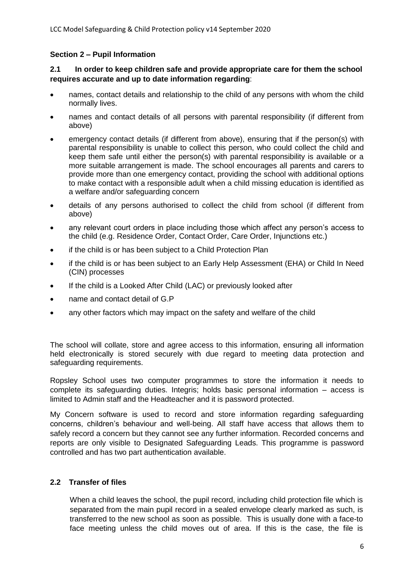#### **Section 2 – Pupil Information**

#### **2.1 In order to keep children safe and provide appropriate care for them the school requires accurate and up to date information regarding**:

- names, contact details and relationship to the child of any persons with whom the child normally lives.
- names and contact details of all persons with parental responsibility (if different from above)
- emergency contact details (if different from above), ensuring that if the person(s) with parental responsibility is unable to collect this person, who could collect the child and keep them safe until either the person(s) with parental responsibility is available or a more suitable arrangement is made. The school encourages all parents and carers to provide more than one emergency contact, providing the school with additional options to make contact with a responsible adult when a child missing education is identified as a welfare and/or safeguarding concern
- details of any persons authorised to collect the child from school (if different from above)
- any relevant court orders in place including those which affect any person's access to the child (e.g. Residence Order, Contact Order, Care Order, Injunctions etc.)
- if the child is or has been subject to a Child Protection Plan
- if the child is or has been subject to an Early Help Assessment (EHA) or Child In Need (CIN) processes
- If the child is a Looked After Child (LAC) or previously looked after
- name and contact detail of G.P
- any other factors which may impact on the safety and welfare of the child

The school will collate, store and agree access to this information, ensuring all information held electronically is stored securely with due regard to meeting data protection and safeguarding requirements.

Ropsley School uses two computer programmes to store the information it needs to complete its safeguarding duties. Integris; holds basic personal information – access is limited to Admin staff and the Headteacher and it is password protected.

My Concern software is used to record and store information regarding safeguarding concerns, children's behaviour and well-being. All staff have access that allows them to safely record a concern but they cannot see any further information. Recorded concerns and reports are only visible to Designated Safeguarding Leads. This programme is password controlled and has two part authentication available.

#### **2.2 Transfer of files**

When a child leaves the school, the pupil record, including child protection file which is separated from the main pupil record in a sealed envelope clearly marked as such, is transferred to the new school as soon as possible. This is usually done with a face-to face meeting unless the child moves out of area. If this is the case, the file is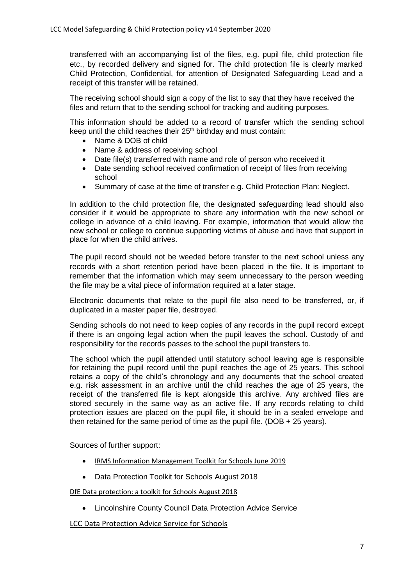transferred with an accompanying list of the files, e.g. pupil file, child protection file etc., by recorded delivery and signed for. The child protection file is clearly marked Child Protection, Confidential, for attention of Designated Safeguarding Lead and a receipt of this transfer will be retained.

The receiving school should sign a copy of the list to say that they have received the files and return that to the sending school for tracking and auditing purposes.

This information should be added to a record of transfer which the sending school keep until the child reaches their 25<sup>th</sup> birthday and must contain:

- Name & DOB of child
- Name & address of receiving school
- Date file(s) transferred with name and role of person who received it
- Date sending school received confirmation of receipt of files from receiving school
- Summary of case at the time of transfer e.g. Child Protection Plan: Neglect.

In addition to the child protection file, the designated safeguarding lead should also consider if it would be appropriate to share any information with the new school or college in advance of a child leaving. For example, information that would allow the new school or college to continue supporting victims of abuse and have that support in place for when the child arrives.

The pupil record should not be weeded before transfer to the next school unless any records with a short retention period have been placed in the file. It is important to remember that the information which may seem unnecessary to the person weeding the file may be a vital piece of information required at a later stage.

Electronic documents that relate to the pupil file also need to be transferred, or, if duplicated in a master paper file, destroyed.

Sending schools do not need to keep copies of any records in the pupil record except if there is an ongoing legal action when the pupil leaves the school. Custody of and responsibility for the records passes to the school the pupil transfers to.

The school which the pupil attended until statutory school leaving age is responsible for retaining the pupil record until the pupil reaches the age of 25 years. This school retains a copy of the child's chronology and any documents that the school created e.g. risk assessment in an archive until the child reaches the age of 25 years, the receipt of the transferred file is kept alongside this archive. Any archived files are stored securely in the same way as an active file. If any records relating to child protection issues are placed on the pupil file, it should be in a sealed envelope and then retained for the same period of time as the pupil file. (DOB  $+ 25$  years).

Sources of further support:

- [IRMS Information Management Toolkit for Schools](https://irms.org.uk/page/SchoolsToolkit) June 2019
- Data Protection Toolkit for Schools August 2018

[DfE Data protection: a toolkit for Schools August 2018](https://assets.publishing.service.gov.uk/government/uploads/system/uploads/attachment_data/file/740740/Data_Protection_Toolkit_for_Schools_OpenBeta_V1.0.pdf)

Lincolnshire County Council Data Protection Advice Service

[LCC Data Protection Advice Service for Schools](https://www.lincolnshire.gov.uk/edulincs/finance-and-professional-services/data-protection-advice-service-new-offer/-reduced-cost/132715.article)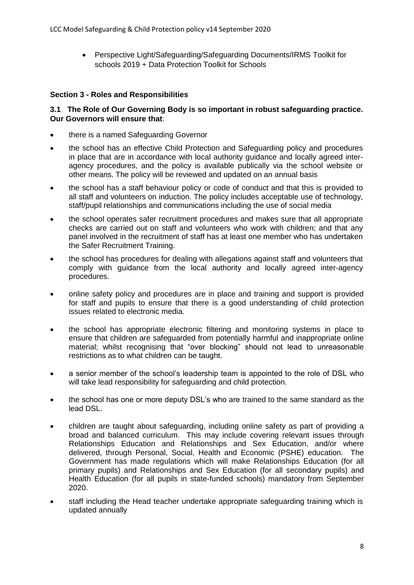Perspective Light/Safeguarding/Safeguarding Documents/IRMS Toolkit for schools 2019 + Data Protection Toolkit for Schools

#### **Section 3 - Roles and Responsibilities**

#### **3.1 The Role of Our Governing Body is so important in robust safeguarding practice. Our Governors will ensure that**:

- there is a named Safeguarding Governor
- the school has an effective Child Protection and Safeguarding policy and procedures in place that are in accordance with local authority guidance and locally agreed interagency procedures, and the policy is available publically via the school website or other means. The policy will be reviewed and updated on an annual basis
- the school has a staff behaviour policy or code of conduct and that this is provided to all staff and volunteers on induction. The policy includes acceptable use of technology, staff/pupil relationships and communications including the use of social media
- the school operates safer recruitment procedures and makes sure that all appropriate checks are carried out on staff and volunteers who work with children; and that any panel involved in the recruitment of staff has at least one member who has undertaken the Safer Recruitment Training.
- the school has procedures for dealing with allegations against staff and volunteers that comply with guidance from the local authority and locally agreed inter-agency procedures.
- online safety policy and procedures are in place and training and support is provided for staff and pupils to ensure that there is a good understanding of child protection issues related to electronic media.
- the school has appropriate electronic filtering and monitoring systems in place to ensure that children are safeguarded from potentially harmful and inappropriate online material; whilst recognising that "over blocking" should not lead to unreasonable restrictions as to what children can be taught.
- a senior member of the school's leadership team is appointed to the role of DSL who will take lead responsibility for safeguarding and child protection.
- the school has one or more deputy DSL's who are trained to the same standard as the lead DSL.
- children are taught about safeguarding, including online safety as part of providing a broad and balanced curriculum. This may include covering relevant issues through Relationships Education and Relationships and Sex Education, and/or where delivered, through Personal, Social, Health and Economic (PSHE) education. The Government has made regulations which will make Relationships Education (for all primary pupils) and Relationships and Sex Education (for all secondary pupils) and Health Education (for all pupils in state-funded schools) mandatory from September 2020.
- staff including the Head teacher undertake appropriate safeguarding training which is updated annually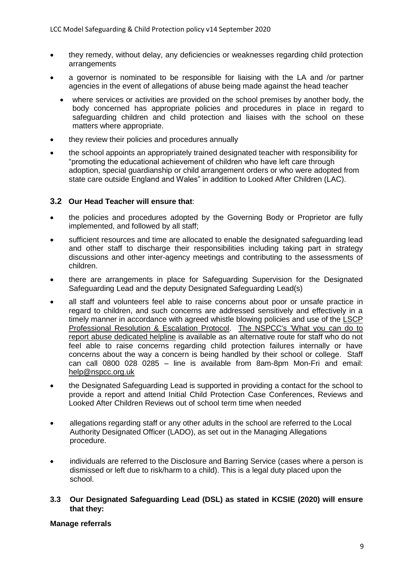- they remedy, without delay, any deficiencies or weaknesses regarding child protection arrangements
- a governor is nominated to be responsible for liaising with the LA and /or partner agencies in the event of allegations of abuse being made against the head teacher
	- where services or activities are provided on the school premises by another body, the body concerned has appropriate policies and procedures in place in regard to safeguarding children and child protection and liaises with the school on these matters where appropriate.
- they review their policies and procedures annually
- the school appoints an appropriately trained designated teacher with responsibility for "promoting the educational achievement of children who have left care through adoption, special guardianship or child arrangement orders or who were adopted from state care outside England and Wales" in addition to Looked After Children (LAC).

#### **3.2 Our Head Teacher will ensure that**:

- the policies and procedures adopted by the Governing Body or Proprietor are fully implemented, and followed by all staff;
- sufficient resources and time are allocated to enable the designated safeguarding lead and other staff to discharge their responsibilities including taking part in strategy discussions and other inter-agency meetings and contributing to the assessments of children.
- there are arrangements in place for Safeguarding Supervision for the Designated Safeguarding Lead and the deputy Designated Safeguarding Lead(s)
- all staff and volunteers feel able to raise concerns about poor or unsafe practice in regard to children, and such concerns are addressed sensitively and effectively in a timely manner in accordance with agreed whistle blowing policies and use of the [LSCP](https://lincolnshirescb.proceduresonline.com/pdfs/escalation_resolution_flow.pdf)  [Professional Resolution & Escalation Protocol.](https://lincolnshirescb.proceduresonline.com/pdfs/escalation_resolution_flow.pdf) [The NSPCC's 'What you can do to](https://www.nspcc.org.uk/what-you-can-do/report-abuse/dedicated-helplines/whistleblowing-advice-line/)  [report abuse dedicated helpline](https://www.nspcc.org.uk/what-you-can-do/report-abuse/dedicated-helplines/whistleblowing-advice-line/) is available as an alternative route for staff who do not feel able to raise concerns regarding child protection failures internally or have concerns about the way a concern is being handled by their school or college. Staff can call 0800 028 0285 – line is available from 8am-8pm Mon-Fri and email: [help@nspcc.org.uk](mailto:help@nspcc.org.uk)
- the Designated Safeguarding Lead is supported in providing a contact for the school to provide a report and attend Initial Child Protection Case Conferences, Reviews and Looked After Children Reviews out of school term time when needed
- allegations regarding staff or any other adults in the school are referred to the Local Authority Designated Officer (LADO), as set out in the Managing Allegations procedure.
- individuals are referred to the Disclosure and Barring Service (cases where a person is dismissed or left due to risk/harm to a child). This is a legal duty placed upon the school.
- **3.3 Our Designated Safeguarding Lead (DSL) as stated in KCSIE (2020) will ensure that they:**

#### **Manage referrals**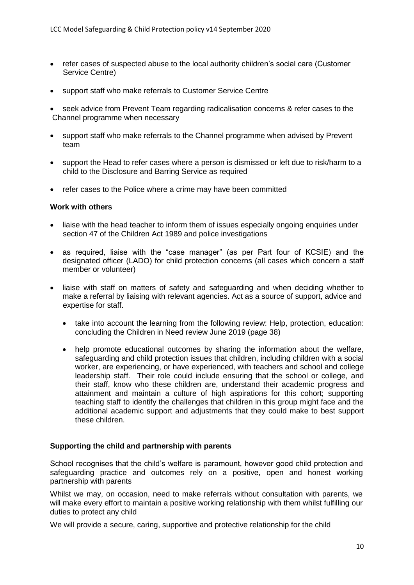- refer cases of suspected abuse to the local authority children's social care (Customer Service Centre)
- support staff who make referrals to Customer Service Centre

 seek advice from Prevent Team regarding radicalisation concerns & refer cases to the Channel programme when necessary

- support staff who make referrals to the Channel programme when advised by Prevent team
- support the Head to refer cases where a person is dismissed or left due to risk/harm to a child to the Disclosure and Barring Service as required
- refer cases to the Police where a crime may have been committed

#### **Work with others**

- liaise with the head teacher to inform them of issues especially ongoing enquiries under section 47 of the Children Act 1989 and police investigations
- as required, liaise with the "case manager" (as per Part four of KCSIE) and the designated officer (LADO) for child protection concerns (all cases which concern a staff member or volunteer)
- liaise with staff on matters of safety and safeguarding and when deciding whether to make a referral by liaising with relevant agencies. Act as a source of support, advice and expertise for staff.
	- take into account the learning from the following review: Help, protection, education: concluding the Children in Need review June 2019 (page 38)
	- help promote educational outcomes by sharing the information about the welfare, safeguarding and child protection issues that children, including children with a social worker, are experiencing, or have experienced, with teachers and school and college leadership staff. Their role could include ensuring that the school or college, and their staff, know who these children are, understand their academic progress and attainment and maintain a culture of high aspirations for this cohort; supporting teaching staff to identify the challenges that children in this group might face and the additional academic support and adjustments that they could make to best support these children.

#### **Supporting the child and partnership with parents**

School recognises that the child's welfare is paramount, however good child protection and safeguarding practice and outcomes rely on a positive, open and honest working partnership with parents

Whilst we may, on occasion, need to make referrals without consultation with parents, we will make every effort to maintain a positive working relationship with them whilst fulfilling our duties to protect any child

We will provide a secure, caring, supportive and protective relationship for the child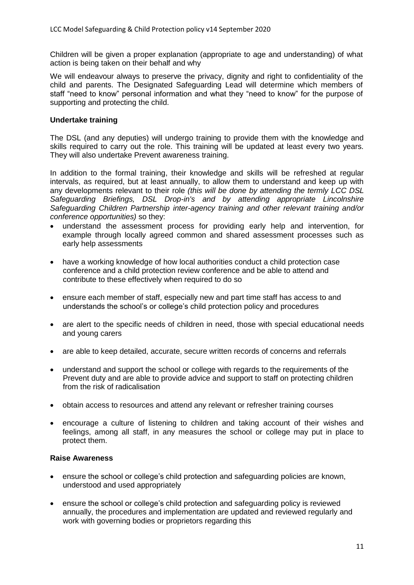Children will be given a proper explanation (appropriate to age and understanding) of what action is being taken on their behalf and why

We will endeavour always to preserve the privacy, dignity and right to confidentiality of the child and parents. The Designated Safeguarding Lead will determine which members of staff "need to know" personal information and what they "need to know" for the purpose of supporting and protecting the child.

#### **Undertake training**

The DSL (and any deputies) will undergo training to provide them with the knowledge and skills required to carry out the role. This training will be updated at least every two years. They will also undertake Prevent awareness training.

In addition to the formal training, their knowledge and skills will be refreshed at regular intervals, as required, but at least annually, to allow them to understand and keep up with any developments relevant to their role *(this will be done by attending the termly LCC DSL Safeguarding Briefings, DSL Drop-in's and by attending appropriate Lincolnshire Safeguarding Children Partnership inter-agency training and other relevant training and/or conference opportunities)* so they:

- understand the assessment process for providing early help and intervention, for example through locally agreed common and shared assessment processes such as early help assessments
- have a working knowledge of how local authorities conduct a child protection case conference and a child protection review conference and be able to attend and contribute to these effectively when required to do so
- ensure each member of staff, especially new and part time staff has access to and understands the school's or college's child protection policy and procedures
- are alert to the specific needs of children in need, those with special educational needs and young carers
- are able to keep detailed, accurate, secure written records of concerns and referrals
- understand and support the school or college with regards to the requirements of the Prevent duty and are able to provide advice and support to staff on protecting children from the risk of radicalisation
- obtain access to resources and attend any relevant or refresher training courses
- encourage a culture of listening to children and taking account of their wishes and feelings, among all staff, in any measures the school or college may put in place to protect them.

#### **Raise Awareness**

- ensure the school or college's child protection and safeguarding policies are known, understood and used appropriately
- ensure the school or college's child protection and safeguarding policy is reviewed annually, the procedures and implementation are updated and reviewed regularly and work with governing bodies or proprietors regarding this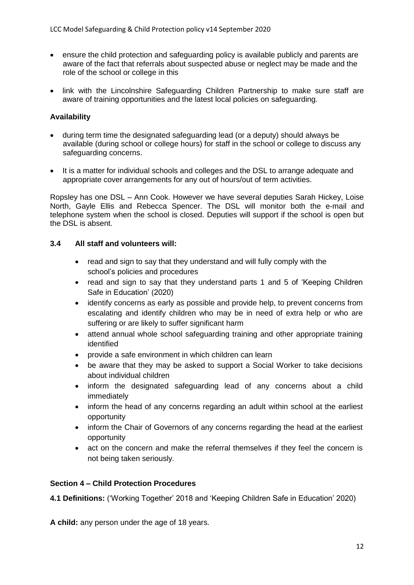- ensure the child protection and safeguarding policy is available publicly and parents are aware of the fact that referrals about suspected abuse or neglect may be made and the role of the school or college in this
- link with the Lincolnshire Safeguarding Children Partnership to make sure staff are aware of training opportunities and the latest local policies on safeguarding.

#### **Availability**

- during term time the designated safeguarding lead (or a deputy) should always be available (during school or college hours) for staff in the school or college to discuss any safeguarding concerns.
- It is a matter for individual schools and colleges and the DSL to arrange adequate and appropriate cover arrangements for any out of hours/out of term activities.

Ropsley has one DSL – Ann Cook. However we have several deputies Sarah Hickey, Loise North, Gayle Ellis and Rebecca Spencer. The DSL will monitor both the e-mail and telephone system when the school is closed. Deputies will support if the school is open but the DSL is absent.

#### **3.4 All staff and volunteers will:**

- read and sign to say that they understand and will fully comply with the school's policies and procedures
- read and sign to say that they understand parts 1 and 5 of 'Keeping Children Safe in Education' (2020)
- identify concerns as early as possible and provide help, to prevent concerns from escalating and identify children who may be in need of extra help or who are suffering or are likely to suffer significant harm
- attend annual whole school safeguarding training and other appropriate training identified
- provide a safe environment in which children can learn
- be aware that they may be asked to support a Social Worker to take decisions about individual children
- inform the designated safeguarding lead of any concerns about a child immediately
- inform the head of any concerns regarding an adult within school at the earliest opportunity
- inform the Chair of Governors of any concerns regarding the head at the earliest opportunity
- act on the concern and make the referral themselves if they feel the concern is not being taken seriously.

#### **Section 4 – Child Protection Procedures**

**4.1 Definitions:** ('Working Together' 2018 and 'Keeping Children Safe in Education' 2020)

**A child:** any person under the age of 18 years.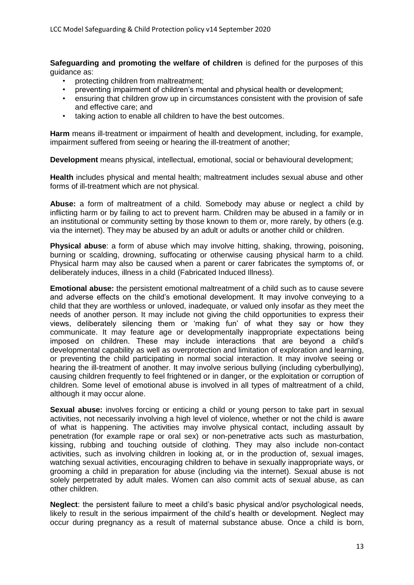**Safeguarding and promoting the welfare of children** is defined for the purposes of this guidance as:

- protecting children from maltreatment;
- preventing impairment of children's mental and physical health or development;
- ensuring that children grow up in circumstances consistent with the provision of safe and effective care; and
- taking action to enable all children to have the best outcomes.

**Harm** means ill-treatment or impairment of health and development, including, for example, impairment suffered from seeing or hearing the ill-treatment of another;

**Development** means physical, intellectual, emotional, social or behavioural development;

**Health** includes physical and mental health; maltreatment includes sexual abuse and other forms of ill-treatment which are not physical.

**Abuse:** a form of maltreatment of a child. Somebody may abuse or neglect a child by inflicting harm or by failing to act to prevent harm. Children may be abused in a family or in an institutional or community setting by those known to them or, more rarely, by others (e.g. via the internet). They may be abused by an adult or adults or another child or children.

**Physical abuse**: a form of abuse which may involve hitting, shaking, throwing, poisoning, burning or scalding, drowning, suffocating or otherwise causing physical harm to a child. Physical harm may also be caused when a parent or carer fabricates the symptoms of, or deliberately induces, illness in a child (Fabricated Induced Illness).

**Emotional abuse:** the persistent emotional maltreatment of a child such as to cause severe and adverse effects on the child's emotional development. It may involve conveying to a child that they are worthless or unloved, inadequate, or valued only insofar as they meet the needs of another person. It may include not giving the child opportunities to express their views, deliberately silencing them or 'making fun' of what they say or how they communicate. It may feature age or developmentally inappropriate expectations being imposed on children. These may include interactions that are beyond a child's developmental capability as well as overprotection and limitation of exploration and learning, or preventing the child participating in normal social interaction. It may involve seeing or hearing the ill-treatment of another. It may involve serious bullying (including cyberbullying), causing children frequently to feel frightened or in danger, or the exploitation or corruption of children. Some level of emotional abuse is involved in all types of maltreatment of a child, although it may occur alone.

**Sexual abuse:** involves forcing or enticing a child or young person to take part in sexual activities, not necessarily involving a high level of violence, whether or not the child is aware of what is happening. The activities may involve physical contact, including assault by penetration (for example rape or oral sex) or non-penetrative acts such as masturbation, kissing, rubbing and touching outside of clothing. They may also include non-contact activities, such as involving children in looking at, or in the production of, sexual images, watching sexual activities, encouraging children to behave in sexually inappropriate ways, or grooming a child in preparation for abuse (including via the internet). Sexual abuse is not solely perpetrated by adult males. Women can also commit acts of sexual abuse, as can other children.

**Neglect**: the persistent failure to meet a child's basic physical and/or psychological needs, likely to result in the serious impairment of the child's health or development. Neglect may occur during pregnancy as a result of maternal substance abuse. Once a child is born,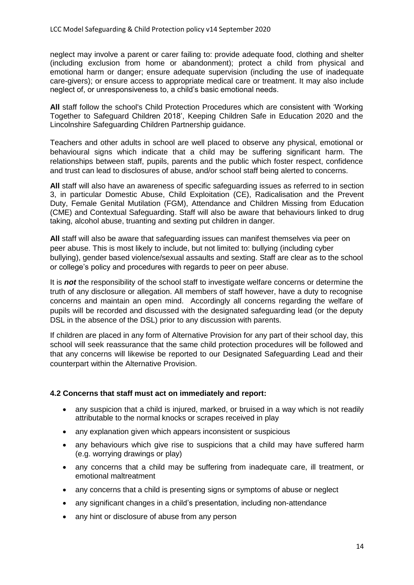neglect may involve a parent or carer failing to: provide adequate food, clothing and shelter (including exclusion from home or abandonment); protect a child from physical and emotional harm or danger; ensure adequate supervision (including the use of inadequate care-givers); or ensure access to appropriate medical care or treatment. It may also include neglect of, or unresponsiveness to, a child's basic emotional needs.

**All** staff follow the school's Child Protection Procedures which are consistent with 'Working Together to Safeguard Children 2018', Keeping Children Safe in Education 2020 and the Lincolnshire Safeguarding Children Partnership guidance.

Teachers and other adults in school are well placed to observe any physical, emotional or behavioural signs which indicate that a child may be suffering significant harm. The relationships between staff, pupils, parents and the public which foster respect, confidence and trust can lead to disclosures of abuse, and/or school staff being alerted to concerns.

**All** staff will also have an awareness of specific safeguarding issues as referred to in section 3, in particular Domestic Abuse, Child Exploitation (CE), Radicalisation and the Prevent Duty, Female Genital Mutilation (FGM), Attendance and Children Missing from Education (CME) and Contextual Safeguarding. Staff will also be aware that behaviours linked to drug taking, alcohol abuse, truanting and sexting put children in danger.

**All** staff will also be aware that safeguarding issues can manifest themselves via peer on peer abuse. This is most likely to include, but not limited to: bullying (including cyber bullying), gender based violence/sexual assaults and sexting. Staff are clear as to the school or college's policy and procedures with regards to peer on peer abuse.

It is *not* the responsibility of the school staff to investigate welfare concerns or determine the truth of any disclosure or allegation. All members of staff however, have a duty to recognise concerns and maintain an open mind. Accordingly all concerns regarding the welfare of pupils will be recorded and discussed with the designated safeguarding lead (or the deputy DSL in the absence of the DSL) prior to any discussion with parents.

If children are placed in any form of Alternative Provision for any part of their school day, this school will seek reassurance that the same child protection procedures will be followed and that any concerns will likewise be reported to our Designated Safeguarding Lead and their counterpart within the Alternative Provision.

#### **4.2 Concerns that staff must act on immediately and report:**

- any suspicion that a child is injured, marked, or bruised in a way which is not readily attributable to the normal knocks or scrapes received in play
- any explanation given which appears inconsistent or suspicious
- any behaviours which give rise to suspicions that a child may have suffered harm (e.g. worrying drawings or play)
- any concerns that a child may be suffering from inadequate care, ill treatment, or emotional maltreatment
- any concerns that a child is presenting signs or symptoms of abuse or neglect
- any significant changes in a child's presentation, including non-attendance
- any hint or disclosure of abuse from any person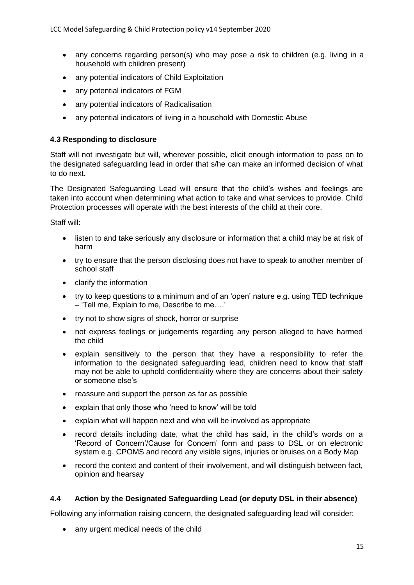- any concerns regarding person(s) who may pose a risk to children (e.g. living in a household with children present)
- any potential indicators of Child Exploitation
- any potential indicators of FGM
- any potential indicators of Radicalisation
- any potential indicators of living in a household with Domestic Abuse

#### **4.3 Responding to disclosure**

Staff will not investigate but will, wherever possible, elicit enough information to pass on to the designated safeguarding lead in order that s/he can make an informed decision of what to do next.

The Designated Safeguarding Lead will ensure that the child's wishes and feelings are taken into account when determining what action to take and what services to provide. Child Protection processes will operate with the best interests of the child at their core.

Staff will:

- listen to and take seriously any disclosure or information that a child may be at risk of harm
- try to ensure that the person disclosing does not have to speak to another member of school staff
- clarify the information
- try to keep questions to a minimum and of an 'open' nature e.g. using TED technique – 'Tell me, Explain to me, Describe to me….'
- try not to show signs of shock, horror or surprise
- not express feelings or judgements regarding any person alleged to have harmed the child
- explain sensitively to the person that they have a responsibility to refer the information to the designated safeguarding lead, children need to know that staff may not be able to uphold confidentiality where they are concerns about their safety or someone else's
- reassure and support the person as far as possible
- explain that only those who 'need to know' will be told
- explain what will happen next and who will be involved as appropriate
- record details including date, what the child has said, in the child's words on a 'Record of Concern'/Cause for Concern' form and pass to DSL or on electronic system e.g. CPOMS and record any visible signs, injuries or bruises on a Body Map
- record the context and content of their involvement, and will distinguish between fact, opinion and hearsay

#### **4.4 Action by the Designated Safeguarding Lead (or deputy DSL in their absence)**

Following any information raising concern, the designated safeguarding lead will consider:

• any urgent medical needs of the child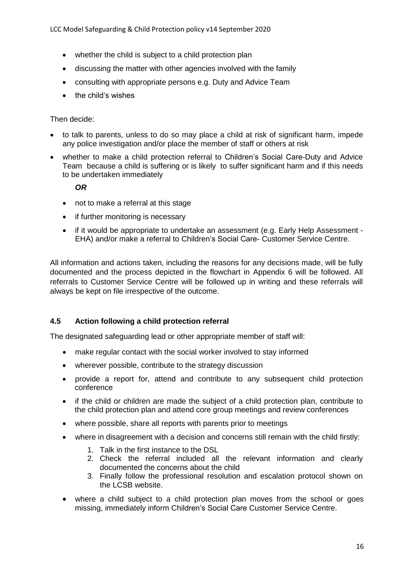- whether the child is subject to a child protection plan
- discussing the matter with other agencies involved with the family
- consulting with appropriate persons e.g. Duty and Advice Team
- the child's wishes

#### Then decide:

- to talk to parents, unless to do so may place a child at risk of significant harm, impede any police investigation and/or place the member of staff or others at risk
- whether to make a child protection referral to Children's Social Care-Duty and Advice Team because a child is suffering or is likely to suffer significant harm and if this needs to be undertaken immediately

#### *OR*

- not to make a referral at this stage
- if further monitoring is necessary
- if it would be appropriate to undertake an assessment (e.g. Early Help Assessment EHA) and/or make a referral to Children's Social Care- Customer Service Centre.

All information and actions taken, including the reasons for any decisions made, will be fully documented and the process depicted in the flowchart in Appendix 6 will be followed. All referrals to Customer Service Centre will be followed up in writing and these referrals will always be kept on file irrespective of the outcome.

#### **4.5 Action following a child protection referral**

The designated safeguarding lead or other appropriate member of staff will:

- make regular contact with the social worker involved to stay informed
- wherever possible, contribute to the strategy discussion
- provide a report for, attend and contribute to any subsequent child protection conference
- if the child or children are made the subject of a child protection plan, contribute to the child protection plan and attend core group meetings and review conferences
- where possible, share all reports with parents prior to meetings
- where in disagreement with a decision and concerns still remain with the child firstly:
	- 1. Talk in the first instance to the DSL
	- 2. Check the referral included all the relevant information and clearly documented the concerns about the child
	- 3. Finally follow the professional resolution and escalation protocol shown on the LCSB website.
- where a child subject to a child protection plan moves from the school or goes missing, immediately inform Children's Social Care Customer Service Centre.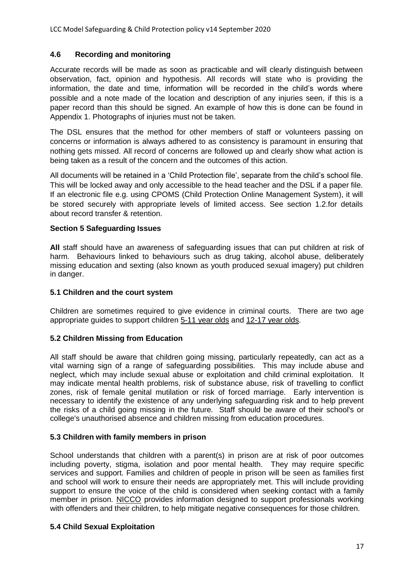#### **4.6 Recording and monitoring**

Accurate records will be made as soon as practicable and will clearly distinguish between observation, fact, opinion and hypothesis. All records will state who is providing the information, the date and time, information will be recorded in the child's words where possible and a note made of the location and description of any injuries seen, if this is a paper record than this should be signed. An example of how this is done can be found in Appendix 1. Photographs of injuries must not be taken.

The DSL ensures that the method for other members of staff or volunteers passing on concerns or information is always adhered to as consistency is paramount in ensuring that nothing gets missed. All record of concerns are followed up and clearly show what action is being taken as a result of the concern and the outcomes of this action.

All documents will be retained in a 'Child Protection file', separate from the child's school file. This will be locked away and only accessible to the head teacher and the DSL if a paper file. If an electronic file e.g. using CPOMS (Child Protection Online Management System), it will be stored securely with appropriate levels of limited access. See section 1.2.for details about record transfer & retention.

#### **Section 5 Safeguarding Issues**

**All** staff should have an awareness of safeguarding issues that can put children at risk of harm. Behaviours linked to behaviours such as drug taking, alcohol abuse, deliberately missing education and sexting (also known as youth produced sexual imagery) put children in danger.

#### **5.1 Children and the court system**

Children are sometimes required to give evidence in criminal courts. There are two age appropriate guides to support children [5-11 year olds](https://www.gov.uk/government/publications/young-witness-booklet-for-5-to-11-year-olds) and [12-17 year olds.](https://www.gov.uk/government/publications/young-witness-booklet-for-12-to-17-year-olds)

#### **5.2 Children Missing from Education**

All staff should be aware that children going missing, particularly repeatedly, can act as a vital warning sign of a range of safeguarding possibilities. This may include abuse and neglect, which may include sexual abuse or exploitation and child criminal exploitation. It may indicate mental health problems, risk of substance abuse, risk of travelling to conflict zones, risk of female genital mutilation or risk of forced marriage. Early intervention is necessary to identify the existence of any underlying safeguarding risk and to help prevent the risks of a child going missing in the future. Staff should be aware of their school's or college's unauthorised absence and children missing from education procedures.

#### **5.3 Children with family members in prison**

School understands that children with a parent(s) in prison are at risk of poor outcomes including poverty, stigma, isolation and poor mental health. They may require specific services and support. Families and children of people in prison will be seen as families first and school will work to ensure their needs are appropriately met. This will include providing support to ensure the voice of the child is considered when seeking contact with a family member in prison. [NICCO](https://www.nicco.org.uk/) provides information designed to support professionals working with offenders and their children, to help mitigate negative consequences for those children.

#### **5.4 Child Sexual Exploitation**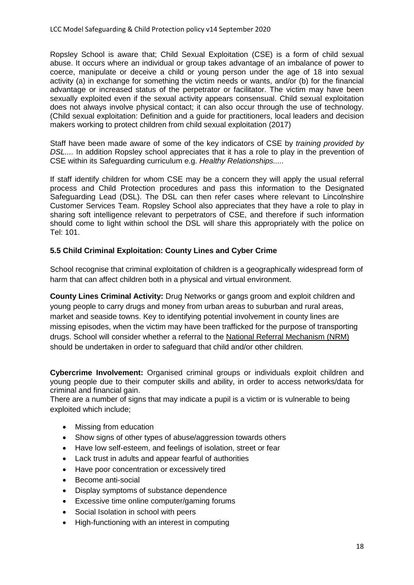Ropsley School is aware that; Child Sexual Exploitation (CSE) is a form of child sexual abuse. It occurs where an individual or group takes advantage of an imbalance of power to coerce, manipulate or deceive a child or young person under the age of 18 into sexual activity (a) in exchange for something the victim needs or wants, and/or (b) for the financial advantage or increased status of the perpetrator or facilitator. The victim may have been sexually exploited even if the sexual activity appears consensual. Child sexual exploitation does not always involve physical contact; it can also occur through the use of technology. (Child sexual exploitation: Definition and a guide for practitioners, local leaders and decision makers working to protect children from child sexual exploitation (2017)

Staff have been made aware of some of the key indicators of CSE by *training provided by DSL....* In addition Ropsley school appreciates that it has a role to play in the prevention of CSE within its Safeguarding curriculum e.g. *Healthy Relationships.....*

If staff identify children for whom CSE may be a concern they will apply the usual referral process and Child Protection procedures and pass this information to the Designated Safeguarding Lead (DSL). The DSL can then refer cases where relevant to Lincolnshire Customer Services Team. Ropsley School also appreciates that they have a role to play in sharing soft intelligence relevant to perpetrators of CSE, and therefore if such information should come to light within school the DSL will share this appropriately with the police on Tel: 101.

#### **5.5 Child Criminal Exploitation: County Lines and Cyber Crime**

School recognise that criminal exploitation of children is a geographically widespread form of harm that can affect children both in a physical and virtual environment.

**County Lines Criminal Activity:** Drug Networks or gangs groom and exploit children and young people to carry drugs and money from urban areas to suburban and rural areas, market and seaside towns. Key to identifying potential involvement in county lines are missing episodes, when the victim may have been trafficked for the purpose of transporting drugs. School will consider whether a referral to the [National Referral Mechanism \(NRM\)](https://www.gov.uk/government/publications/human-trafficking-victims-referral-and-assessment-forms/guidance-on-the-national-referral-mechanism-for-potential-adult-victims-of-modern-slavery-england-and-wales) should be undertaken in order to safeguard that child and/or other children.

**Cybercrime Involvement:** Organised criminal groups or individuals exploit children and young people due to their computer skills and ability, in order to access networks/data for criminal and financial gain.

There are a number of signs that may indicate a pupil is a victim or is vulnerable to being exploited which include;

- Missing from education
- Show signs of other types of abuse/aggression towards others
- Have low self-esteem, and feelings of isolation, street or fear
- Lack trust in adults and appear fearful of authorities
- Have poor concentration or excessively tired
- Become anti-social
- Display symptoms of substance dependence
- Excessive time online computer/gaming forums
- Social Isolation in school with peers
- High-functioning with an interest in computing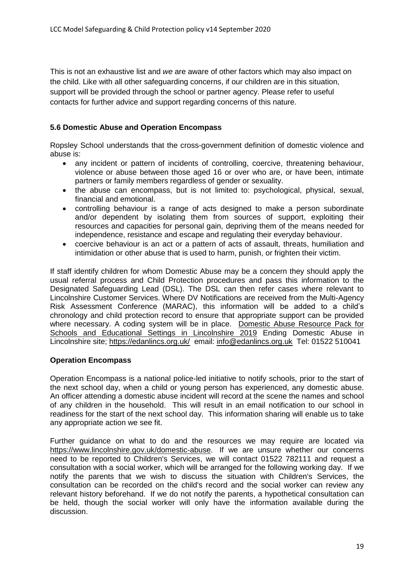This is not an exhaustive list and *we* are aware of other factors which may also impact on the child. Like with all other safeguarding concerns, if our children are in this situation, support will be provided through the school or partner agency. Please refer to useful contacts for further advice and support regarding concerns of this nature.

#### **5.6 Domestic Abuse and Operation Encompass**

Ropsley School understands that the cross-government definition of domestic violence and abuse is:

- any incident or pattern of incidents of controlling, coercive, threatening behaviour, violence or abuse between those aged 16 or over who are, or have been, intimate partners or family members regardless of gender or sexuality.
- the abuse can encompass, but is not limited to: psychological, physical, sexual, financial and emotional.
- controlling behaviour is a range of acts designed to make a person subordinate and/or dependent by isolating them from sources of support, exploiting their resources and capacities for personal gain, depriving them of the means needed for independence, resistance and escape and regulating their everyday behaviour.
- coercive behaviour is an act or a pattern of acts of assault, threats, humiliation and intimidation or other abuse that is used to harm, punish, or frighten their victim.

If staff identify children for whom Domestic Abuse may be a concern they should apply the usual referral process and Child Protection procedures and pass this information to the Designated Safeguarding Lead (DSL). The DSL can then refer cases where relevant to Lincolnshire Customer Services. Where DV Notifications are received from the Multi-Agency Risk Assessment Conference (MARAC), this information will be added to a child's chronology and child protection record to ensure that appropriate support can be provided where necessary. A coding system will be in place. [Domestic Abuse Resource Pack for](https://www.lincolnshire.gov.uk/schools-and-education/stay-safe-partnership/safeguarding-in-schools/)  [Schools and Educational Settings in Lincolnshire 2019](https://www.lincolnshire.gov.uk/schools-and-education/stay-safe-partnership/safeguarding-in-schools/) Ending Domestic Abuse in Lincolnshire site;<https://edanlincs.org.uk/>email: [info@edanlincs.org.uk](mailto:info@edanlincs.org.uk) Tel: 01522 510041

#### **Operation Encompass**

Operation Encompass is a national police-led initiative to notify schools, prior to the start of the next school day, when a child or young person has experienced, any domestic abuse. An officer attending a domestic abuse incident will record at the scene the names and school of any children in the household. This will result in an email notification to our school in readiness for the start of the next school day. This information sharing will enable us to take any appropriate action we see fit.

Further guidance on what to do and the resources we may require are located via [https://www.lincolnshire.gov.uk/domestic-abuse.](https://www.lincolnshire.gov.uk/domestic-abuse) If we are unsure whether our concerns need to be reported to Children's Services, we will contact 01522 782111 and request a consultation with a social worker, which will be arranged for the following working day. If we notify the parents that we wish to discuss the situation with Children's Services, the consultation can be recorded on the child's record and the social worker can review any relevant history beforehand. If we do not notify the parents, a hypothetical consultation can be held, though the social worker will only have the information available during the discussion.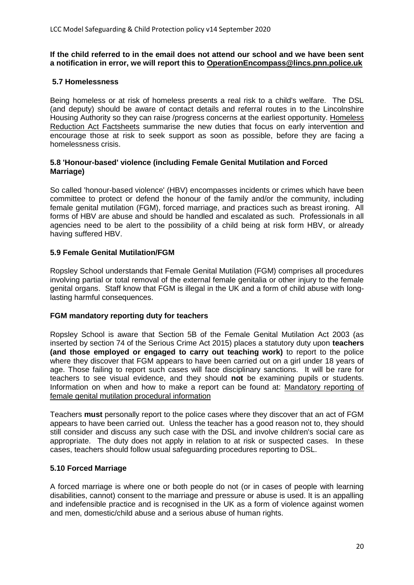#### **If the child referred to in the email does not attend our school and we have been sent a notification in error, we will report this to [OperationEncompass@lincs.pnn.police.uk](mailto:OperationEncompass@lincs.pnn.police.uk)**

#### **5.7 Homelessness**

Being homeless or at risk of homeless presents a real risk to a child's welfare. The DSL (and deputy) should be aware of contact details and referral routes in to the Lincolnshire Housing Authority so they can raise /progress concerns at the earliest opportunity. [Homeless](https://www.gov.uk/government/publications/homelessness-reduction-bill-policy-factsheets)  [Reduction Act Factsheets](https://www.gov.uk/government/publications/homelessness-reduction-bill-policy-factsheets) summarise the new duties that focus on early intervention and encourage those at risk to seek support as soon as possible, before they are facing a homelessness crisis.

#### **5.8 'Honour-based' violence (including Female Genital Mutilation and Forced Marriage)**

So called 'honour-based violence' (HBV) encompasses incidents or crimes which have been committee to protect or defend the honour of the family and/or the community, including female genital mutilation (FGM), forced marriage, and practices such as breast ironing. All forms of HBV are abuse and should be handled and escalated as such. Professionals in all agencies need to be alert to the possibility of a child being at risk form HBV, or already having suffered HBV.

#### **5.9 Female Genital Mutilation/FGM**

Ropsley School understands that Female Genital Mutilation (FGM) comprises all procedures involving partial or total removal of the external female genitalia or other injury to the female genital organs. Staff know that FGM is illegal in the UK and a form of child abuse with longlasting harmful consequences.

#### **FGM mandatory reporting duty for teachers**

Ropsley School is aware that Section 5B of the Female Genital Mutilation Act 2003 (as inserted by section 74 of the Serious Crime Act 2015) places a statutory duty upon **teachers (and those employed or engaged to carry out teaching work)** to report to the police where they discover that FGM appears to have been carried out on a girl under 18 years of age. Those failing to report such cases will face disciplinary sanctions. It will be rare for teachers to see visual evidence, and they should **not** be examining pupils or students. Information on when and how to make a report can be found at: [Mandatory reporting of](https://www.gov.uk/government/publications/mandatory-reporting-of-female-genital-mutilation-procedural-information)  [female genital mutilation procedural information](https://www.gov.uk/government/publications/mandatory-reporting-of-female-genital-mutilation-procedural-information)

Teachers **must** personally report to the police cases where they discover that an act of FGM appears to have been carried out. Unless the teacher has a good reason not to, they should still consider and discuss any such case with the DSL and involve children's social care as appropriate. The duty does not apply in relation to at risk or suspected cases. In these cases, teachers should follow usual safeguarding procedures reporting to DSL.

#### **5.10 Forced Marriage**

A forced marriage is where one or both people do not (or in cases of people with learning disabilities, cannot) consent to the marriage and pressure or abuse is used. It is an appalling and indefensible practice and is recognised in the UK as a form of violence against women and men, domestic/child abuse and a serious abuse of human rights.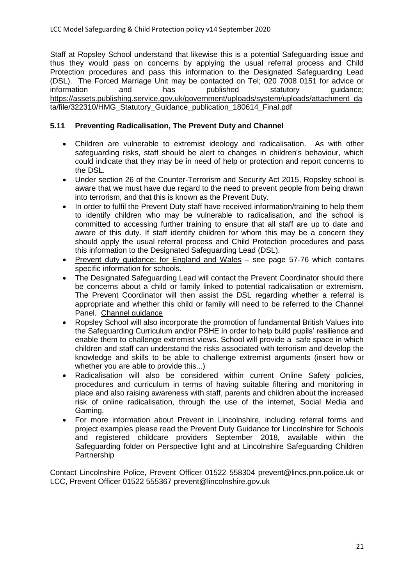Staff at Ropsley School understand that likewise this is a potential Safeguarding issue and thus they would pass on concerns by applying the usual referral process and Child Protection procedures and pass this information to the Designated Safeguarding Lead (DSL). The Forced Marriage Unit may be contacted on Tel; 020 7008 0151 for advice or information and has published statutory guidance; [https://assets.publishing.service.gov.uk/government/uploads/system/uploads/attachment\\_da](https://assets.publishing.service.gov.uk/government/uploads/system/uploads/attachment_data/file/322310/HMG_Statutory_Guidance_publication_180614_Final.pdf) [ta/file/322310/HMG\\_Statutory\\_Guidance\\_publication\\_180614\\_Final.pdf](https://assets.publishing.service.gov.uk/government/uploads/system/uploads/attachment_data/file/322310/HMG_Statutory_Guidance_publication_180614_Final.pdf)

#### **5.11 Preventing Radicalisation, The Prevent Duty and Channel**

- Children are vulnerable to extremist ideology and radicalisation. As with other safeguarding risks, staff should be alert to changes in children's behaviour, which could indicate that they may be in need of help or protection and report concerns to the DSL.
- Under section 26 of the Counter-Terrorism and Security Act 2015, Ropsley school is aware that we must have due regard to the need to prevent people from being drawn into terrorism, and that this is known as the Prevent Duty.
- In order to fulfil the Prevent Duty staff have received information/training to help them to identify children who may be vulnerable to radicalisation, and the school is committed to accessing further training to ensure that all staff are up to date and aware of this duty. If staff identify children for whom this may be a concern they should apply the usual referral process and Child Protection procedures and pass this information to the Designated Safeguarding Lead (DSL).
- [Prevent duty guidance: for England and Wales](https://www.gov.uk/government/publications/prevent-duty-guidance) see page 57-76 which contains specific information for schools.
- The Designated Safeguarding Lead will contact the Prevent Coordinator should there be concerns about a child or family linked to potential radicalisation or extremism. The Prevent Coordinator will then assist the DSL regarding whether a referral is appropriate and whether this child or family will need to be referred to the Channel Panel. [Channel guidance](https://www.gov.uk/government/publications/channel-guidance)
- Ropsley School will also incorporate the promotion of fundamental British Values into the Safeguarding Curriculum and/or PSHE in order to help build pupils' resilience and enable them to challenge extremist views. School will provide a safe space in which children and staff can understand the risks associated with terrorism and develop the knowledge and skills to be able to challenge extremist arguments (insert how or whether you are able to provide this...)
- Radicalisation will also be considered within current Online Safety policies, procedures and curriculum in terms of having suitable filtering and monitoring in place and also raising awareness with staff, parents and children about the increased risk of online radicalisation, through the use of the internet, Social Media and Gaming.
- For more information about Prevent in Lincolnshire, including referral forms and project examples please read the Prevent Duty Guidance for Lincolnshire for Schools and registered childcare providers September 2018, available within the Safeguarding folder on Perspective light and at Lincolnshire Safeguarding Children Partnership

Contact Lincolnshire Police, Prevent Officer 01522 558304 prevent@lincs.pnn.police.uk or LCC, Prevent Officer 01522 555367 prevent@lincolnshire.gov.uk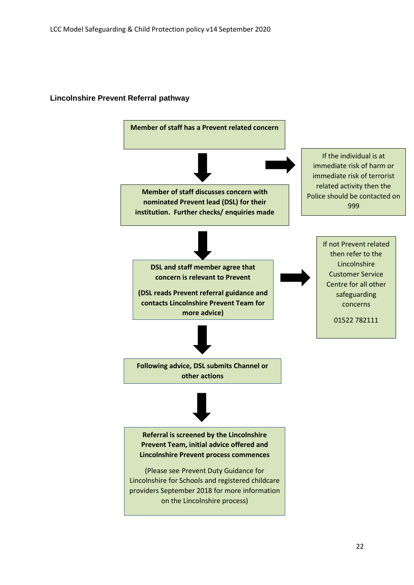

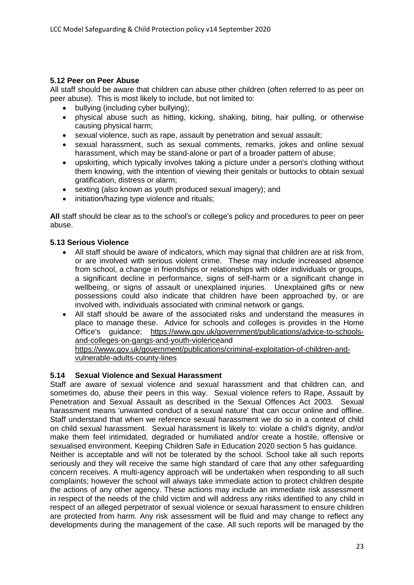#### **5.12 Peer on Peer Abuse**

All staff should be aware that children can abuse other children (often referred to as peer on peer abuse). This is most likely to include, but not limited to:

- bullying (including cyber bullying);
- physical abuse such as hitting, kicking, shaking, biting, hair pulling, or otherwise causing physical harm;
- sexual violence, such as rape, assault by penetration and sexual assault;
- sexual harassment, such as sexual comments, remarks, jokes and online sexual harassment, which may be stand-alone or part of a broader pattern of abuse;
- upskirting, which typically involves taking a picture under a person's clothing without them knowing, with the intention of viewing their genitals or buttocks to obtain sexual gratification, distress or alarm;
- sexting (also known as youth produced sexual imagery); and
- initiation/hazing type violence and rituals;

**All** staff should be clear as to the school's or college's policy and procedures to peer on peer abuse.

#### **5.13 Serious Violence**

- All staff should be aware of indicators, which may signal that children are at risk from, or are involved with serious violent crime. These may include increased absence from school, a change in friendships or relationships with older individuals or groups, a significant decline in performance, signs of self-harm or a significant change in wellbeing, or signs of assault or unexplained injuries. Unexplained gifts or new possessions could also indicate that children have been approached by, or are involved with, individuals associated with criminal network or gangs.
- All staff should be aware of the associated risks and understand the measures in place to manage these. Advice for schools and colleges is provides in the Home Office's guidance; [https://www.gov.uk/government/publications/advice-to-schools](https://www.gov.uk/government/publications/advice-to-schools-and-colleges-on-gangs-and-youth-violence)[and-colleges-on-gangs-and-youth-violencea](https://www.gov.uk/government/publications/advice-to-schools-and-colleges-on-gangs-and-youth-violence)nd

[https://www.gov.uk/government/publications/criminal-exploitation-of-children-and](https://www.gov.uk/government/publications/criminal-exploitation-of-children-and-vulnerable-adults-county-lines)[vulnerable-adults-county-lines](https://www.gov.uk/government/publications/criminal-exploitation-of-children-and-vulnerable-adults-county-lines)

#### **5.14 Sexual Violence and Sexual Harassment**

Staff are aware of sexual violence and sexual harassment and that children can, and sometimes do, abuse their peers in this way. Sexual violence refers to Rape, Assault by Penetration and Sexual Assault as described in the Sexual Offences Act 2003. Sexual harassment means 'unwanted conduct of a sexual nature' that can occur online and offline. Staff understand that when we reference sexual harassment we do so in a context of child on child sexual harassment. Sexual harassment is likely to: violate a child's dignity, and/or make them feel intimidated, degraded or humiliated and/or create a hostile, offensive or sexualised environment. Keeping Children Safe in Education 2020 section 5 has guidance. Neither is acceptable and will not be tolerated by the school. School take all such reports seriously and they will receive the same high standard of care that any other safeguarding concern receives. A multi-agency approach will be undertaken when responding to all such complaints; however the school will always take immediate action to protect children despite the actions of any other agency. These actions may include an immediate risk assessment

in respect of the needs of the child victim and will address any risks identified to any child in respect of an alleged perpetrator of sexual violence or sexual harassment to ensure children are protected from harm. Any risk assessment will be fluid and may change to reflect any developments during the management of the case. All such reports will be managed by the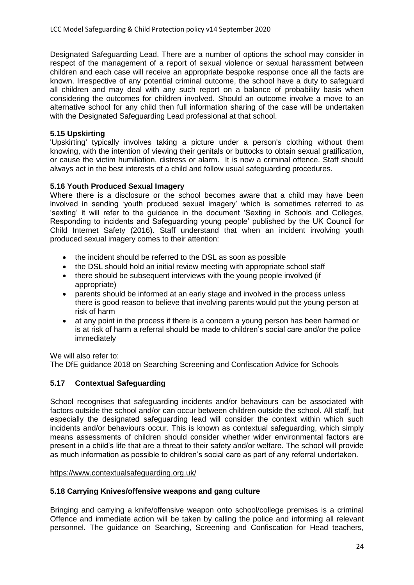Designated Safeguarding Lead. There are a number of options the school may consider in respect of the management of a report of sexual violence or sexual harassment between children and each case will receive an appropriate bespoke response once all the facts are known. Irrespective of any potential criminal outcome, the school have a duty to safeguard all children and may deal with any such report on a balance of probability basis when considering the outcomes for children involved. Should an outcome involve a move to an alternative school for any child then full information sharing of the case will be undertaken with the Designated Safeguarding Lead professional at that school.

#### **5.15 Upskirting**

'Upskirting' typically involves taking a picture under a person's clothing without them knowing, with the intention of viewing their genitals or buttocks to obtain sexual gratification, or cause the victim humiliation, distress or alarm. It is now a criminal offence. Staff should always act in the best interests of a child and follow usual safeguarding procedures.

#### **5.16 Youth Produced Sexual Imagery**

Where there is a disclosure or the school becomes aware that a child may have been involved in sending 'youth produced sexual imagery' which is sometimes referred to as 'sexting' it will refer to the guidance in the document 'Sexting in Schools and Colleges, Responding to incidents and Safeguarding young people' published by the UK Council for Child Internet Safety (2016). Staff understand that when an incident involving youth produced sexual imagery comes to their attention:

- the incident should be referred to the DSL as soon as possible
- the DSL should hold an initial review meeting with appropriate school staff
- there should be subsequent interviews with the young people involved (if appropriate)
- parents should be informed at an early stage and involved in the process unless there is good reason to believe that involving parents would put the young person at risk of harm
- at any point in the process if there is a concern a young person has been harmed or is at risk of harm a referral should be made to children's social care and/or the police immediately

We will also refer to: [The DfE guidance 2018 on Searching Screening and Confiscation Advice for Schools](https://www.gov.uk/government/publications/searching-screening-and-confiscation)

#### **5.17 Contextual Safeguarding**

School recognises that safeguarding incidents and/or behaviours can be associated with factors outside the school and/or can occur between children outside the school. All staff, but especially the designated safeguarding lead will consider the context within which such incidents and/or behaviours occur. This is known as contextual safeguarding, which simply means assessments of children should consider whether wider environmental factors are present in a child's life that are a threat to their safety and/or welfare. The school will provide as much information as possible to children's social care as part of any referral undertaken.

#### <https://www.contextualsafeguarding.org.uk/>

#### **5.18 Carrying Knives/offensive weapons and gang culture**

Bringing and carrying a knife/offensive weapon onto school/college premises is a criminal Offence and immediate action will be taken by calling the police and informing all relevant personnel. The guidance on Searching, Screening and Confiscation for Head teachers,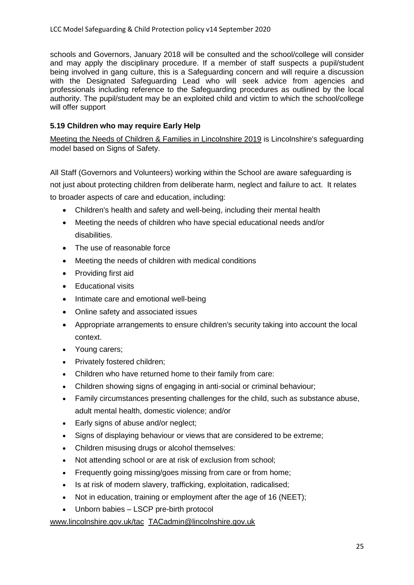schools and Governors, January 2018 will be consulted and the school/college will consider and may apply the disciplinary procedure. If a member of staff suspects a pupil/student being involved in gang culture, this is a Safeguarding concern and will require a discussion with the Designated Safeguarding Lead who will seek advice from agencies and professionals including reference to the Safeguarding procedures as outlined by the local authority. The pupil/student may be an exploited child and victim to which the school/college will offer support

#### **5.19 Children who may require Early Help**

[Meeting the Needs of Children & Families in Lincolnshire 2019](https://lincolnshirescb.proceduresonline.com/pdfs/put_ch_first_thresholds.pdf) is Lincolnshire's safeguarding model based on Signs of Safety.

All Staff (Governors and Volunteers) working within the School are aware safeguarding is not just about protecting children from deliberate harm, neglect and failure to act. It relates to broader aspects of care and education, including:

- Children's health and safety and well-being, including their mental health
- Meeting the needs of children who have special educational needs and/or disabilities.
- The use of reasonable force
- Meeting the needs of children with medical conditions
- Providing first aid
- Educational visits
- Intimate care and emotional well-being
- Online safety and associated issues
- Appropriate arrangements to ensure children's security taking into account the local context.
- Young carers;
- Privately fostered children:
- Children who have returned home to their family from care:
- Children showing signs of engaging in anti-social or criminal behaviour;
- Family circumstances presenting challenges for the child, such as substance abuse, adult mental health, domestic violence; and/or
- Early signs of abuse and/or neglect;
- Signs of displaying behaviour or views that are considered to be extreme;
- Children misusing drugs or alcohol themselves:
- Not attending school or are at risk of exclusion from school;
- Frequently going missing/goes missing from care or from home;
- Is at risk of modern slavery, trafficking, exploitation, radicalised;
- Not in education, training or employment after the age of 16 (NEET);
- Unborn babies LSCP pre-birth protocol

[www.lincolnshire.gov.uk/tac](http://www.lincolnshire.gov.uk/tac) [TACadmin@lincolnshire.gov.uk](mailto:TACadmin@lincolnshire.gov.uk)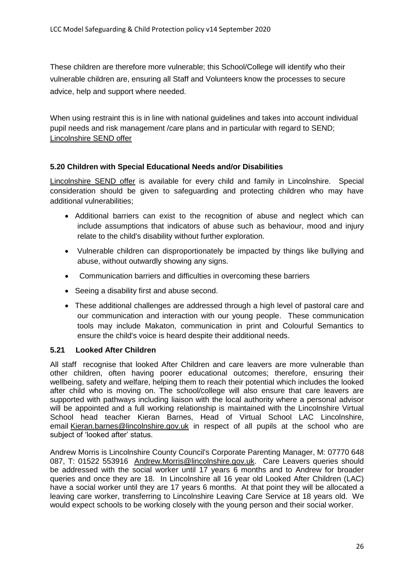These children are therefore more vulnerable; this School/College will identify who their vulnerable children are, ensuring all Staff and Volunteers know the processes to secure advice, help and support where needed.

When using restraint this is in line with national guidelines and takes into account individual pupil needs and risk management /care plans and in particular with regard to SEND; [Lincolnshire](https://www.lincolnshire.gov.uk/childcare-and-family-support/special-educational-needs-and-disabilities/send-local-offer/) SEND offer

#### **5.20 Children with Special Educational Needs and/or Disabilities**

[Lincolnshire SEND offer](https://www.lincolnshire.gov.uk/childcare-and-family-support/special-educational-needs-and-disabilities/send-local-offer/) is available for every child and family in Lincolnshire. Special consideration should be given to safeguarding and protecting children who may have additional vulnerabilities;

- Additional barriers can exist to the recognition of abuse and neglect which can include assumptions that indicators of abuse such as behaviour, mood and injury relate to the child's disability without further exploration.
- Vulnerable children can disproportionately be impacted by things like bullying and abuse, without outwardly showing any signs.
- Communication barriers and difficulties in overcoming these barriers
- Seeing a disability first and abuse second.
- These additional challenges are addressed through a high level of pastoral care and our communication and interaction with our young people. These communication tools may include Makaton, communication in print and Colourful Semantics to ensure the child's voice is heard despite their additional needs.

#### **5.21 Looked After Children**

All staff recognise that looked After Children and care leavers are more vulnerable than other children, often having poorer educational outcomes; therefore, ensuring their wellbeing, safety and welfare, helping them to reach their potential which includes the looked after child who is moving on. The school/college will also ensure that care leavers are supported with pathways including liaison with the local authority where a personal advisor will be appointed and a full working relationship is maintained with the Lincolnshire Virtual School head teacher Kieran Barnes, Head of Virtual School LAC Lincolnshire, email [Kieran.barnes@lincolnshire.gov.uk](mailto:Kieran.barnes@lincolnshire.gov.uk) in respect of all pupils at the school who are subject of 'looked after' status.

Andrew Morris is Lincolnshire County Council's Corporate Parenting Manager, M: 07770 648 087, T: 01522 553916 [Andrew.Morris@lincolnshire.gov.uk.](mailto:Andrew.Morris@lincolnshire.gov.uk) Care Leavers queries should be addressed with the social worker until 17 years 6 months and to Andrew for broader queries and once they are 18. In Lincolnshire all 16 year old Looked After Children (LAC) have a social worker until they are 17 years 6 months. At that point they will be allocated a leaving care worker, transferring to Lincolnshire Leaving Care Service at 18 years old. We would expect schools to be working closely with the young person and their social worker.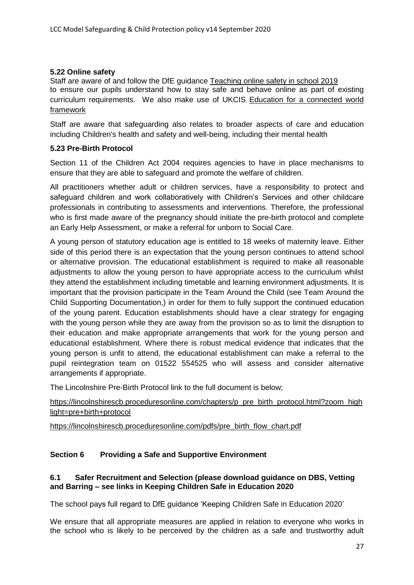#### **5.22 Online safety**

Staff are aware of and follow the DfE guidance [Teaching online safety in school 2019](https://www.gov.uk/government/publications/teaching-online-safety-in-schools) to ensure our pupils understand how to stay safe and behave online as part of existing curriculum requirements. We also make use of UKCIS [Education for a connected world](https://www.gov.uk/government/publications/education-for-a-connected-world)  **[framework](https://www.gov.uk/government/publications/education-for-a-connected-world)** 

Staff are aware that safeguarding also relates to broader aspects of care and education including Children's health and safety and well-being, including their mental health

#### **5.23 Pre-Birth Protocol**

Section 11 of the Children Act 2004 requires agencies to have in place mechanisms to ensure that they are able to safeguard and promote the welfare of children.

All practitioners whether adult or children services, have a responsibility to protect and safeguard children and work collaboratively with Children's Services and other childcare professionals in contributing to assessments and interventions. Therefore, the professional who is first made aware of the pregnancy should initiate the pre-birth protocol and complete an Early Help Assessment, or make a referral for unborn to Social Care.

A young person of statutory education age is entitled to 18 weeks of maternity leave. Either side of this period there is an expectation that the young person continues to attend school or alternative provision. The educational establishment is required to make all reasonable adjustments to allow the young person to have appropriate access to the curriculum whilst they attend the establishment including timetable and learning environment adjustments. It is important that the provision participate in the Team Around the Child (see Team Around the Child Supporting Documentation,) in order for them to fully support the continued education of the young parent. Education establishments should have a clear strategy for engaging with the young person while they are away from the provision so as to limit the disruption to their education and make appropriate arrangements that work for the young person and educational establishment. Where there is robust medical evidence that indicates that the young person is unfit to attend, the educational establishment can make a referral to the pupil reintegration team on 01522 554525 who will assess and consider alternative arrangements if appropriate.

The Lincolnshire Pre-Birth Protocol link to the full document is below;

[https://lincolnshirescb.proceduresonline.com/chapters/p\\_pre\\_birth\\_protocol.html?zoom\\_high](https://lincolnshirescb.proceduresonline.com/chapters/p_pre_birth_protocol.html?zoom_highlight=pre+birth+protocol) [light=pre+birth+protocol](https://lincolnshirescb.proceduresonline.com/chapters/p_pre_birth_protocol.html?zoom_highlight=pre+birth+protocol) 

[https://lincolnshirescb.proceduresonline.com/pdfs/pre\\_birth\\_flow\\_chart.pdf](https://lincolnshirescb.proceduresonline.com/pdfs/pre_birth_flow_chart.pdf)

#### **Section 6 Providing a Safe and Supportive Environment**

#### **6.1 Safer Recruitment and Selection (please download guidance on DBS, Vetting and Barring – see links in Keeping Children Safe in Education 2020**

The school pays full regard to DfE guidance 'Keeping Children Safe in Education 2020'

We ensure that all appropriate measures are applied in relation to everyone who works in the school who is likely to be perceived by the children as a safe and trustworthy adult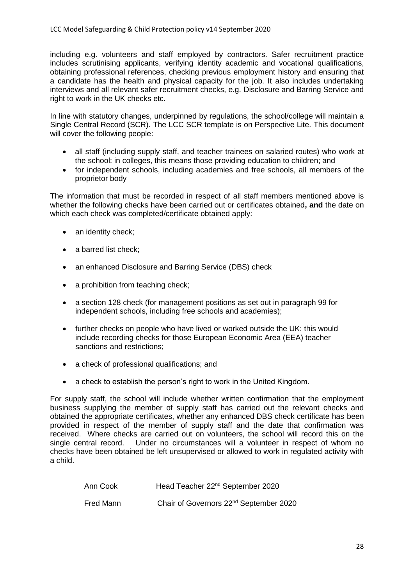including e.g. volunteers and staff employed by contractors. Safer recruitment practice includes scrutinising applicants, verifying identity academic and vocational qualifications, obtaining professional references, checking previous employment history and ensuring that a candidate has the health and physical capacity for the job. It also includes undertaking interviews and all relevant safer recruitment checks, e.g. Disclosure and Barring Service and right to work in the UK checks etc.

In line with statutory changes, underpinned by regulations, the school/college will maintain a Single Central Record (SCR). The LCC SCR template is on Perspective Lite. This document will cover the following people:

- all staff (including supply staff, and teacher trainees on salaried routes) who work at the school: in colleges, this means those providing education to children; and
- for independent schools, including academies and free schools, all members of the proprietor body

The information that must be recorded in respect of all staff members mentioned above is whether the following checks have been carried out or certificates obtained**, and** the date on which each check was completed/certificate obtained apply:

- an identity check;
- a barred list check:
- an enhanced Disclosure and Barring Service (DBS) check
- a prohibition from teaching check;
- a section 128 check (for management positions as set out in paragraph 99 for independent schools, including free schools and academies);
- further checks on people who have lived or worked outside the UK: this would include recording checks for those European Economic Area (EEA) teacher sanctions and restrictions;
- a check of professional qualifications; and
- a check to establish the person's right to work in the United Kingdom.

For supply staff, the school will include whether written confirmation that the employment business supplying the member of supply staff has carried out the relevant checks and obtained the appropriate certificates, whether any enhanced DBS check certificate has been provided in respect of the member of supply staff and the date that confirmation was received. Where checks are carried out on volunteers, the school will record this on the single central record. Under no circumstances will a volunteer in respect of whom no checks have been obtained be left unsupervised or allowed to work in regulated activity with a child.

| Ann Cook  | Head Teacher 22 <sup>nd</sup> September 2020       |
|-----------|----------------------------------------------------|
| Fred Mann | Chair of Governors 22 <sup>nd</sup> September 2020 |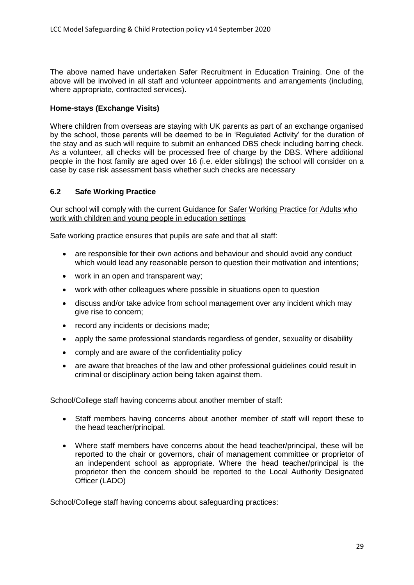The above named have undertaken Safer Recruitment in Education Training. One of the above will be involved in all staff and volunteer appointments and arrangements (including, where appropriate, contracted services).

#### **Home-stays (Exchange Visits)**

Where children from overseas are staying with UK parents as part of an exchange organised by the school, those parents will be deemed to be in 'Regulated Activity' for the duration of the stay and as such will require to submit an enhanced DBS check including barring check. As a volunteer, all checks will be processed free of charge by the DBS. Where additional people in the host family are aged over 16 (i.e. elder siblings) the school will consider on a case by case risk assessment basis whether such checks are necessary

#### **6.2 Safe Working Practice**

Our school will comply with the current [Guidance for Safer Working Practice for Adults who](https://www.lincolnshire.gov.uk/schools-and-education/stay-safe-partnership/safeguarding-in-schools/)  [work with children and young people in education settings](https://www.lincolnshire.gov.uk/schools-and-education/stay-safe-partnership/safeguarding-in-schools/)

Safe working practice ensures that pupils are safe and that all staff:

- are responsible for their own actions and behaviour and should avoid any conduct which would lead any reasonable person to question their motivation and intentions;
- work in an open and transparent way;
- work with other colleagues where possible in situations open to question
- discuss and/or take advice from school management over any incident which may give rise to concern;
- record any incidents or decisions made;
- apply the same professional standards regardless of gender, sexuality or disability
- comply and are aware of the confidentiality policy
- are aware that breaches of the law and other professional guidelines could result in criminal or disciplinary action being taken against them.

School/College staff having concerns about another member of staff:

- Staff members having concerns about another member of staff will report these to the head teacher/principal.
- Where staff members have concerns about the head teacher/principal, these will be reported to the chair or governors, chair of management committee or proprietor of an independent school as appropriate. Where the head teacher/principal is the proprietor then the concern should be reported to the Local Authority Designated Officer (LADO)

School/College staff having concerns about safeguarding practices: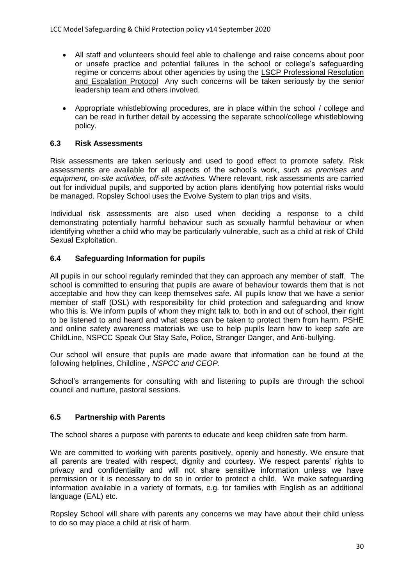- All staff and volunteers should feel able to challenge and raise concerns about poor or unsafe practice and potential failures in the school or college's safeguarding regime or concerns about other agencies by using the [LSCP Professional Resolution](https://www.lincolnshire.gov.uk/schools-and-education/stay-safe-partnership/safeguarding-in-schools/)  [and Escalation Protocol](https://www.lincolnshire.gov.uk/schools-and-education/stay-safe-partnership/safeguarding-in-schools/) Any such concerns will be taken seriously by the senior leadership team and others involved.
- Appropriate whistleblowing procedures, are in place within the school / college and can be read in further detail by accessing the separate school/college whistleblowing policy.

#### **6.3 Risk Assessments**

Risk assessments are taken seriously and used to good effect to promote safety. Risk assessments are available for all aspects of the school's work, *such as premises and equipment, on-site activities, off-site activities.* Where relevant, risk assessments are carried out for individual pupils, and supported by action plans identifying how potential risks would be managed. Ropsley School uses the Evolve System to plan trips and visits.

Individual risk assessments are also used when deciding a response to a child demonstrating potentially harmful behaviour such as sexually harmful behaviour or when identifying whether a child who may be particularly vulnerable, such as a child at risk of Child Sexual Exploitation.

#### **6.4 Safeguarding Information for pupils**

All pupils in our school regularly reminded that they can approach any member of staff. The school is committed to ensuring that pupils are aware of behaviour towards them that is not acceptable and how they can keep themselves safe. All pupils know that we have a senior member of staff (DSL) with responsibility for child protection and safeguarding and know who this is. We inform pupils of whom they might talk to, both in and out of school, their right to be listened to and heard and what steps can be taken to protect them from harm. PSHE and online safety awareness materials we use to help pupils learn how to keep safe are ChildLine, NSPCC Speak Out Stay Safe, Police, Stranger Danger, and Anti-bullying.

Our school will ensure that pupils are made aware that information can be found at the following helplines, Childline *, NSPCC and CEOP.*

School's arrangements for consulting with and listening to pupils are through the school council and nurture, pastoral sessions.

#### **6.5 Partnership with Parents**

The school shares a purpose with parents to educate and keep children safe from harm.

We are committed to working with parents positively, openly and honestly. We ensure that all parents are treated with respect, dignity and courtesy. We respect parents' rights to privacy and confidentiality and will not share sensitive information unless we have permission or it is necessary to do so in order to protect a child. We make safeguarding information available in a variety of formats, e.g. for families with English as an additional language (EAL) etc.

Ropsley School will share with parents any concerns we may have about their child unless to do so may place a child at risk of harm.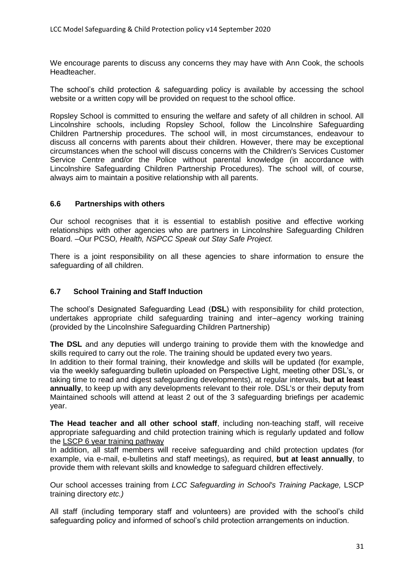We encourage parents to discuss any concerns they may have with Ann Cook, the schools Headteacher.

The school's child protection & safeguarding policy is available by accessing the school website or a written copy will be provided on request to the school office.

Ropsley School is committed to ensuring the welfare and safety of all children in school. All Lincolnshire schools, including Ropsley School, follow the Lincolnshire Safeguarding Children Partnership procedures. The school will, in most circumstances, endeavour to discuss all concerns with parents about their children. However, there may be exceptional circumstances when the school will discuss concerns with the Children's Services Customer Service Centre and/or the Police without parental knowledge (in accordance with Lincolnshire Safeguarding Children Partnership Procedures). The school will, of course, always aim to maintain a positive relationship with all parents.

#### **6.6 Partnerships with others**

Our school recognises that it is essential to establish positive and effective working relationships with other agencies who are partners in Lincolnshire Safeguarding Children Board. –Our PCSO*, Health, NSPCC Speak out Stay Safe Project.*

There is a joint responsibility on all these agencies to share information to ensure the safeguarding of all children.

#### **6.7 School Training and Staff Induction**

The school's Designated Safeguarding Lead (**DSL**) with responsibility for child protection, undertakes appropriate child safeguarding training and inter–agency working training (provided by the Lincolnshire Safeguarding Children Partnership)

**The DSL** and any deputies will undergo training to provide them with the knowledge and skills required to carry out the role. The training should be updated every two years.

In addition to their formal training, their knowledge and skills will be updated (for example, via the weekly safeguarding bulletin uploaded on Perspective Light, meeting other DSL's, or taking time to read and digest safeguarding developments), at regular intervals, **but at least annually**, to keep up with any developments relevant to their role. DSL's or their deputy from Maintained schools will attend at least 2 out of the 3 safeguarding briefings per academic year.

**The Head teacher and all other school staff**, including non-teaching staff, will receive appropriate safeguarding and child protection training which is regularly updated and follow the [LSCP 6 year training pathway](https://www.lincolnshire.gov.uk/lscb/professionals/support/training/124632.article)

In addition, all staff members will receive safeguarding and child protection updates (for example, via e-mail, e-bulletins and staff meetings), as required, **but at least annually**, to provide them with relevant skills and knowledge to safeguard children effectively.

Our school accesses training from *LCC Safeguarding in School's Training Package,* [LSCP](https://www.lincolnshire.gov.uk/lscb/professionals/support/training/124632.article)  [training directory](https://www.lincolnshire.gov.uk/lscb/professionals/support/training/124632.article) *etc.)*

All staff (including temporary staff and volunteers) are provided with the school's child safeguarding policy and informed of school's child protection arrangements on induction.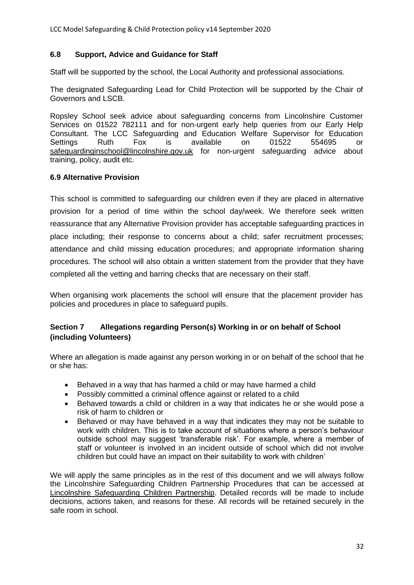#### **6.8 Support, Advice and Guidance for Staff**

Staff will be supported by the school, the Local Authority and professional associations.

The designated Safeguarding Lead for Child Protection will be supported by the Chair of Governors and LSCB.

Ropsley School seek advice about safeguarding concerns from Lincolnshire Customer Services on 01522 782111 and for non-urgent early help queries from our Early Help Consultant. The LCC Safeguarding and Education Welfare Supervisor for Education Settings Ruth Fox is available on 01522 554695 or [safeguardinginschool@lincolnshire.gov.uk](mailto:safeguardinginschool@lincolnshire.gov.uk) for non-urgent safeguarding advice about training, policy, audit etc.

#### **6.9 Alternative Provision**

This school is committed to safeguarding our children even if they are placed in alternative provision for a period of time within the school day/week. We therefore seek written reassurance that any Alternative Provision provider has acceptable safeguarding practices in place including; their response to concerns about a child; safer recruitment processes; attendance and child missing education procedures; and appropriate information sharing procedures. The school will also obtain a written statement from the provider that they have completed all the vetting and barring checks that are necessary on their staff.

When organising work placements the school will ensure that the placement provider has policies and procedures in place to safeguard pupils.

#### **Section 7 Allegations regarding Person(s) Working in or on behalf of School (including Volunteers)**

Where an allegation is made against any person working in or on behalf of the school that he or she has:

- Behaved in a way that has harmed a child or may have harmed a child
- Possibly committed a criminal offence against or related to a child
- Behaved towards a child or children in a way that indicates he or she would pose a risk of harm to children or
- Behaved or may have behaved in a way that indicates they may not be suitable to work with children. This is to take account of situations where a person's behaviour outside school may suggest 'transferable risk'. For example, where a member of staff or volunteer is involved in an incident outside of school which did not involve children but could have an impact on their suitability to work with children'

We will apply the same principles as in the rest of this document and we will always follow the Lincolnshire Safeguarding Children Partnership Procedures that can be accessed at [Lincolnshire Safeguarding Children Partnership.](http://www.lincolnshire.gov.uk/lscb) Detailed records will be made to include decisions, actions taken, and reasons for these. All records will be retained securely in the safe room in school.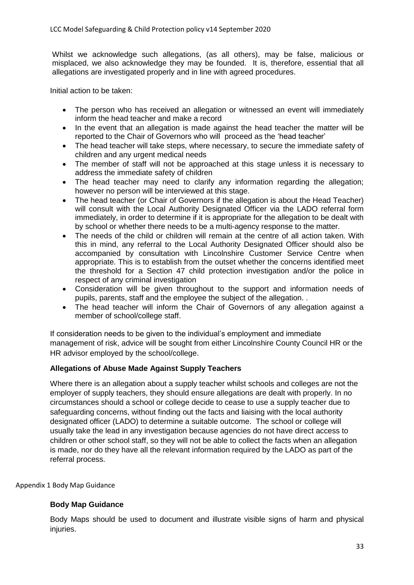Whilst we acknowledge such allegations, (as all others), may be false, malicious or misplaced, we also acknowledge they may be founded. It is, therefore, essential that all allegations are investigated properly and in line with agreed procedures.

Initial action to be taken:

- The person who has received an allegation or witnessed an event will immediately inform the head teacher and make a record
- In the event that an allegation is made against the head teacher the matter will be reported to the Chair of Governors who will proceed as the 'head teacher'
- The head teacher will take steps, where necessary, to secure the immediate safety of children and any urgent medical needs
- The member of staff will not be approached at this stage unless it is necessary to address the immediate safety of children
- The head teacher may need to clarify any information regarding the allegation; however no person will be interviewed at this stage.
- The head teacher (or Chair of Governors if the allegation is about the Head Teacher) will consult with the Local Authority Designated Officer via the LADO referral form immediately, in order to determine if it is appropriate for the allegation to be dealt with by school or whether there needs to be a multi-agency response to the matter.
- The needs of the child or children will remain at the centre of all action taken. With this in mind, any referral to the Local Authority Designated Officer should also be accompanied by consultation with Lincolnshire Customer Service Centre when appropriate. This is to establish from the outset whether the concerns identified meet the threshold for a Section 47 child protection investigation and/or the police in respect of any criminal investigation
- Consideration will be given throughout to the support and information needs of pupils, parents, staff and the employee the subject of the allegation. .
- The head teacher will inform the Chair of Governors of any allegation against a member of school/college staff.

If consideration needs to be given to the individual's employment and immediate management of risk, advice will be sought from either Lincolnshire County Council HR or the HR advisor employed by the school/college.

#### **Allegations of Abuse Made Against Supply Teachers**

Where there is an allegation about a supply teacher whilst schools and colleges are not the employer of supply teachers, they should ensure allegations are dealt with properly. In no circumstances should a school or college decide to cease to use a supply teacher due to safeguarding concerns, without finding out the facts and liaising with the local authority designated officer (LADO) to determine a suitable outcome. The school or college will usually take the lead in any investigation because agencies do not have direct access to children or other school staff, so they will not be able to collect the facts when an allegation is made, nor do they have all the relevant information required by the LADO as part of the referral process.

Appendix 1 Body Map Guidance

#### **Body Map Guidance**

Body Maps should be used to document and illustrate visible signs of harm and physical injuries.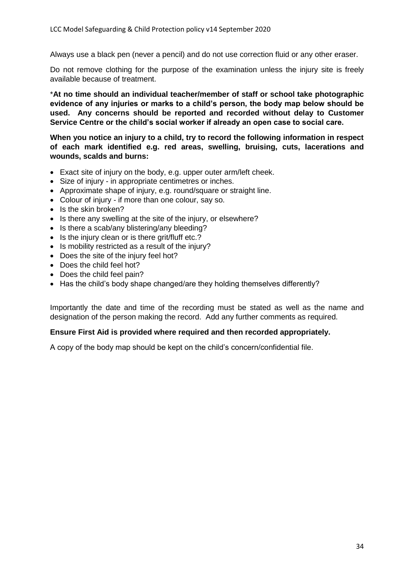Always use a black pen (never a pencil) and do not use correction fluid or any other eraser.

Do not remove clothing for the purpose of the examination unless the injury site is freely available because of treatment.

\***At no time should an individual teacher/member of staff or school take photographic evidence of any injuries or marks to a child's person, the body map below should be used. Any concerns should be reported and recorded without delay to Customer Service Centre or the child's social worker if already an open case to social care.**

**When you notice an injury to a child, try to record the following information in respect of each mark identified e.g. red areas, swelling, bruising, cuts, lacerations and wounds, scalds and burns:**

- Exact site of injury on the body, e.g. upper outer arm/left cheek.
- Size of injury in appropriate centimetres or inches.
- Approximate shape of injury, e.g. round/square or straight line.
- Colour of injury if more than one colour, say so.
- Is the skin broken?
- Is there any swelling at the site of the injury, or elsewhere?
- Is there a scab/any blistering/any bleeding?
- Is the injury clean or is there grit/fluff etc.?
- Is mobility restricted as a result of the injury?
- Does the site of the injury feel hot?
- Does the child feel hot?
- Does the child feel pain?
- Has the child's body shape changed/are they holding themselves differently?

Importantly the date and time of the recording must be stated as well as the name and designation of the person making the record. Add any further comments as required.

#### **Ensure First Aid is provided where required and then recorded appropriately.**

A copy of the body map should be kept on the child's concern/confidential file.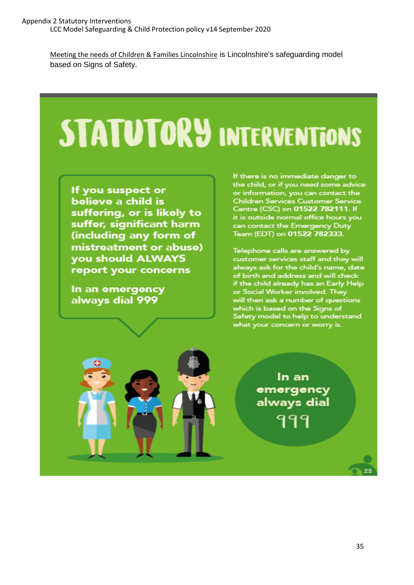[Meeting the needs of Children & Families Lincolnshire](https://lincolnshirescb.proceduresonline.com/pdfs/put_ch_first_thresholds.pdf?zoom_highlight=meeting+the+needs#search=%22meeting%20the%20needs%22) is Lincolnshire's safeguarding model based on Signs of Safety.

# **STATUTORY INTERVENTIONS**

If you suspect or believe a child is suffering, or is likely to suffer, significant harm (including any form of mistreatment or abuse) **you should ALWAYS** report your concerns

In an emergency always dial 999

If there is no immediate danger to the child, or if you need some advice or information, you can contact the Children Services Customer Service Centre (CSC) on 01522 782111. If it is outside normal office hours you can contact the Emergency Duty Team (EDT) on 01522 782333.

Telephone calls are answered by customer services staff and they will always ask for the child's name, date of birth and address and will check<br>if the child already has an Early Help<br>or Social Worker involved. They will then ask a number of questions which is based on the Signs of Safety model to help to understand what your concern or worry is.



In an emergency always dial 999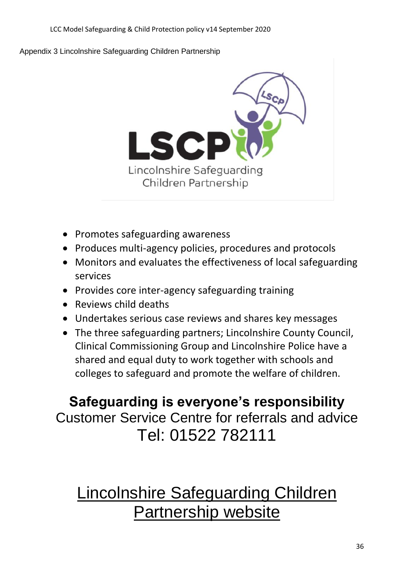#### Appendix 3 Lincolnshire Safeguarding Children Partnership



- Promotes safeguarding awareness
- Produces multi-agency policies, procedures and protocols
- Monitors and evaluates the effectiveness of local safeguarding services
- Provides core inter-agency safeguarding training
- Reviews child deaths
- Undertakes serious case reviews and shares key messages
- The three safeguarding partners; Lincolnshire County Council, Clinical Commissioning Group and Lincolnshire Police have a shared and equal duty to work together with schools and colleges to safeguard and promote the welfare of children.

## **Safeguarding is everyone's responsibility** Customer Service Centre for referrals and advice Tel: 01522 782111

## [Lincolnshire Safeguarding Children](http://www.lincolnshire.gov.uk/lscb)  [Partnership website](http://www.lincolnshire.gov.uk/lscb)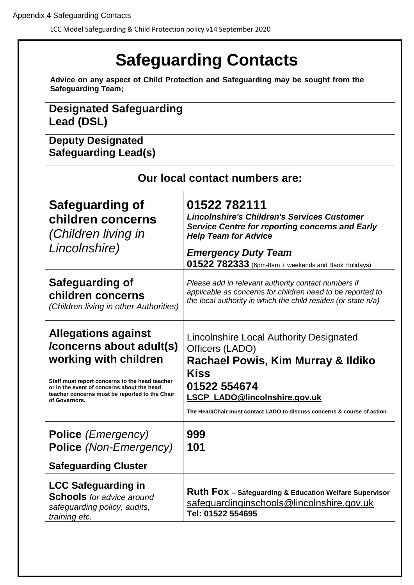LCC Model Safeguarding & Child Protection policy v14 September 2020

#### **Safeguarding Contacts Advice on any aspect of Child Protection and Safeguarding may be sought from the Safeguarding Team; Designated Safeguarding Lead (DSL) Deputy Designated Safeguarding Lead(s) Our local contact numbers are: Safeguarding of children concerns**  *(Children living in Lincolnshire)* **01522 782111** *Lincolnshire's Children's Services Customer Service Centre for reporting concerns and Early Help Team for Advice Emergency Duty Team*  **01522 782333** (6pm-8am + weekends and Bank Holidays) **Safeguarding of children concerns** *(Children living in other Authorities) Please add in relevant authority contact numbers if applicable as concerns for children need to be reported to the local authority in which the child resides (or state n/a)* **Allegations against /concerns about adult(s) working with children Staff must report concerns to the head teacher or in the event of concerns about the head teacher concerns must be reported to the Chair of Governors.**  Lincolnshire Local Authority Designated Officers (LADO) **Rachael Powis, Kim Murray & Ildiko Kiss 01522 554674 [LSCP\\_LADO@lincolnshire.gov.uk](mailto:LSCP_LADO@lincolnshire.gov.uk) The Head/Chair must contact LADO to discuss concerns & course of action. Police** *(Emergency)* **Police** *(Non-Emergency)* **999 101 Safeguarding Cluster LCC Safeguarding in Schools** *for advice around safeguarding policy, audits, training etc.* **Ruth Fox – Safeguarding & Education Welfare Supervisor** [safeguardinginschools@lincolnshire.gov.uk](mailto:safeguardinginschools@lincolnshire.gov.uk) **Tel: 01522 554695**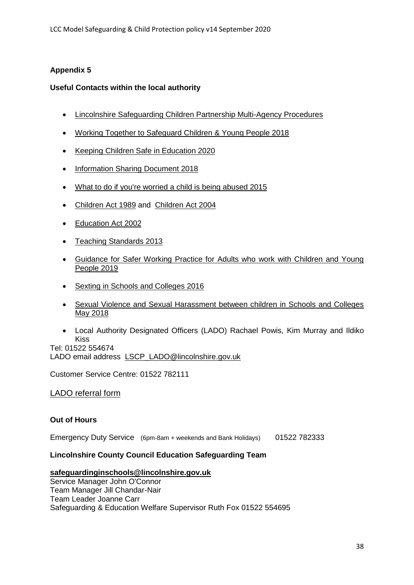#### **Appendix 5**

#### **Useful Contacts within the local authority**

- [Lincolnshire Safeguarding Children Partnership Multi-Agency Procedures](http://lincolnshirescb.proceduresonline.com/)
- [Working Together to Safeguard Children & Young People 2018](https://www.gov.uk/government/publications/working-together-to-safeguard-children--2)
- [Keeping Children Safe in Education 2020](https://www.gov.uk/government/publications/keeping-children-safe-in-education--2)
- [Information Sharing Document 2018](https://assets.publishing.service.gov.uk/government/uploads/system/uploads/attachment_data/file/721581/Information_sharing_advice_practitioners_safeguarding_services.pdf)
- [What to do if you're worried a child is being abused 2015](https://assets.publishing.service.gov.uk/government/uploads/system/uploads/attachment_data/file/419604/What_to_do_if_you_re_worried_a_child_is_being_abused.pdf)
- Children Act 1989 and [Children Act 2004](https://www.legislation.gov.uk/ukpga/2004/31/contents)
- [Education Act 2002](https://www.legislation.gov.uk/ukpga/2002/32/section/175)
- Teaching Standards 2013
- [Guidance for Safer Working Practice for Adults who work with Children and Young](https://www.lincolnshire.gov.uk/schools-and-education/stay-safe-partnership/safeguarding-in-schools/)  [People 2019](https://www.lincolnshire.gov.uk/schools-and-education/stay-safe-partnership/safeguarding-in-schools/)
- [Sexting in Schools and Colleges 2016](https://assets.publishing.service.gov.uk/government/uploads/system/uploads/attachment_data/file/609874/6_2939_SP_NCA_Sexting_In_Schools_FINAL_Update_Jan17.pdf)
- [Sexual Violence and Sexual Harassment between children in Schools and Colleges](https://assets.publishing.service.gov.uk/government/uploads/system/uploads/attachment_data/file/719902/Sexual_violence_and_sexual_harassment_between_children_in_schools_and_colleges.pdf)  [May 2018](https://assets.publishing.service.gov.uk/government/uploads/system/uploads/attachment_data/file/719902/Sexual_violence_and_sexual_harassment_between_children_in_schools_and_colleges.pdf)
- Local Authority Designated Officers (LADO) Rachael Powis, Kim Murray and Ildiko Kiss

Tel: 01522 554674 LADO email address LSCP LADO@lincolnshire.gov.uk

Customer Service Centre: 01522 782111

#### [LADO referral form](https://www.lincolnshire.gov.uk/lscb/the-lscb/contact-us/124619.article)

#### **Out of Hours**

Emergency Duty Service(6pm-8am + weekends and Bank Holidays) 01522 782333

#### **Lincolnshire County Council Education Safeguarding Team**

#### **[safeguardinginschools@lincolnshire.gov.uk](mailto:safeguardinginschools@lincolnshire.gov.uk)**

Service Manager John O'Connor Team Manager Jill Chandar-Nair Team Leader Joanne Carr Safeguarding & Education Welfare Supervisor Ruth Fox 01522 554695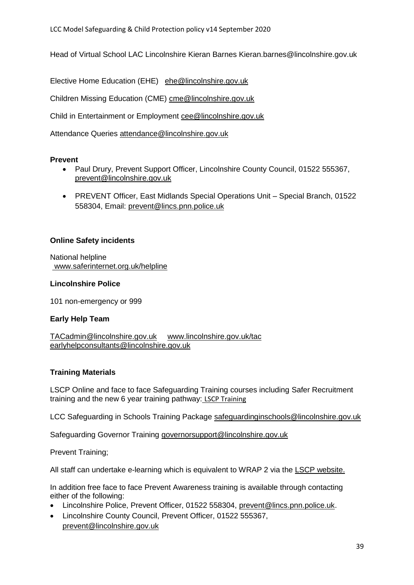Head of Virtual School LAC Lincolnshire Kieran Barnes [Kieran.barnes@lincolnshire.gov.uk](mailto:Kieran.barnes@lincolnshire.gov.uk)

Elective Home Education (EHE) [ehe@lincolnshire.gov.uk](mailto:attendance.pupilsupport@kirklees.gov.uk)

Children Missing Education (CME) [cme@lincolnshire.gov.uk](mailto:cme@lincolnshire.gov.uk)

Child in Entertainment or Employment [cee@lincolnshire.gov.uk](mailto:cee@lincolnshire.gov.uk)

Attendance Queries [attendance@lincolnshire.gov.uk](mailto:attendance@lincolnshire.gov.uk)

#### **Prevent**

- Paul Drury, Prevent Support Officer, Lincolnshire County Council, 01522 555367, [prevent@lincolnshire.gov.uk](mailto:prevent@lincolnshire.gov.uk)
- PREVENT Officer, East Midlands Special Operations Unit Special Branch, 01522 558304, Email: [prevent@lincs.pnn.police.uk](mailto:prevent@lincs.pnn.police.uk)

#### **Online Safety incidents**

National helpline www.saferinternet.org.uk/helpline

#### **Lincolnshire Police**

101 non-emergency or 999

#### **Early Help Team**

[TACadmin@lincolnshire.gov.uk](mailto:TACadmin@lincolnshire.gov.uk) [www.lincolnshire.gov.uk/tac](http://www.lincolnshire.gov.uk/tac) [earlyhelpconsultants@lincolnshire.gov.uk](mailto:earlyhelpconsultants@lincolnshire.gov.uk)

#### **Training Materials**

LSCP Online and face to face Safeguarding Training courses including Safer Recruitment training and the new 6 year training pathway: [LSCP Training](https://www.lincolnshire.gov.uk/safeguarding/lscp/3?documentId=258&categoryId=20076)

LCC Safeguarding in Schools Training Package [safeguardinginschools@lincolnshire.gov.uk](mailto:safeguardinginschools@lincolnshire.gov.uk)

Safeguarding Governor Training [governorsupport@lincolnshire.gov.uk](mailto:governorsupport@lincolnshire.gov.uk)

Prevent Training;

All staff can undertake e-learning which is equivalent to WRAP 2 via the [LSCP website.](http://www.lincolnshire.gov.uk/lscb/professionals/support/training/124632.article)

In addition free face to face Prevent Awareness training is available through contacting either of the following:

- Lincolnshire Police, Prevent Officer, 01522 558304, [prevent@lincs.pnn.police.uk.](mailto:prevent@lincs.pnn.police.uk)
- Lincolnshire County Council, Prevent Officer, 01522 555367, [prevent@lincolnshire.gov.uk](mailto:prevent@lincolnshire.gov.uk)